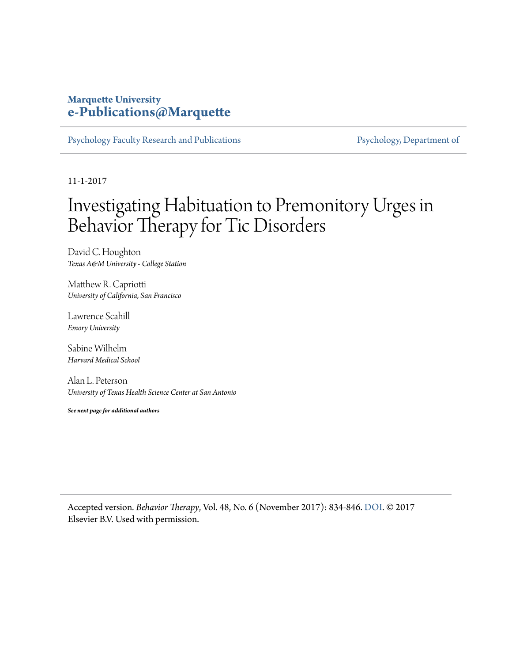### **Marquette University [e-Publications@Marquette](https://epublications.marquette.edu)**

[Psychology Faculty Research and Publications](https://epublications.marquette.edu/psych_fac) **Properties [Psychology, Department of](https://epublications.marquette.edu/psychology)** 

11-1-2017

## Investigating Habituation to Premonitory Urges in Behavior Therapy for Tic Disorders

David C. Houghton *Texas A&M University - College Station*

Matthew R. Capriotti *University of California, San Francisco*

Lawrence Scahill *Emory University*

Sabine Wilhelm *Harvard Medical School*

Alan L. Peterson *University of Texas Health Science Center at San Antonio*

*See next page for additional authors*

Accepted version*. Behavior Therapy*, Vol. 48, No. 6 (November 2017): 834-846. [DOI](https://doi.org/10.1016/j.beth.2017.08.004). © 2017 Elsevier B.V. Used with permission.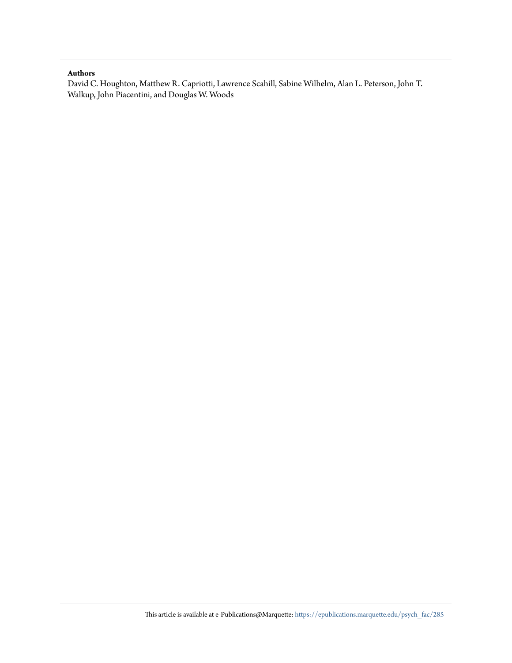### **Authors**

David C. Houghton, Matthew R. Capriotti, Lawrence Scahill, Sabine Wilhelm, Alan L. Peterson, John T. Walkup, John Piacentini, and Douglas W. Woods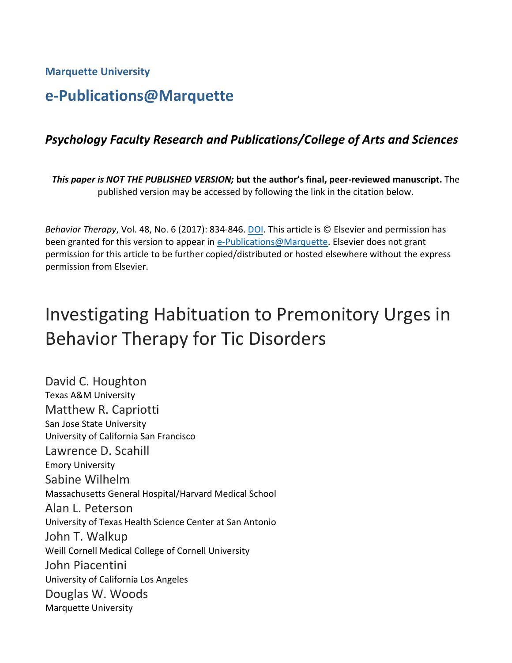**Marquette University**

## **e-Publications@Marquette**

### *Psychology Faculty Research and Publications/College of Arts and Sciences*

*This paper is NOT THE PUBLISHED VERSION;* **but the author's final, peer-reviewed manuscript.** The published version may be accessed by following the link in the citation below.

*Behavior Therapy*, Vol. 48, No. 6 (2017): 834-846. [DOI.](https://doi.org/10.1016/j.beth.2017.08.004) This article is © Elsevier and permission has been granted for this version to appear in [e-Publications@Marquette.](http://epublications.marquette.edu/) Elsevier does not grant permission for this article to be further copied/distributed or hosted elsewhere without the express permission from Elsevier.

# Investigating Habituation to Premonitory Urges in Behavior Therapy for Tic Disorders

David C. [Houghton](https://www.sciencedirect.com/science/article/pii/S0005789417300916?via%3Dihub#!) Texas A&M University [Matthew R.](https://www.sciencedirect.com/science/article/pii/S0005789417300916?via%3Dihub#!) Capriotti San Jose State University University of California San Francisco [Lawrence D.](https://www.sciencedirect.com/science/article/pii/S0005789417300916?via%3Dihub#!) Scahill Emory University Sabine [Wilhelm](https://www.sciencedirect.com/science/article/pii/S0005789417300916?via%3Dihub#!) Massachusetts General Hospital/Harvard Medical School Alan L. [Peterson](https://www.sciencedirect.com/science/article/pii/S0005789417300916?via%3Dihub#!) University of Texas Health Science Center at San Antonio John T. [Walkup](https://www.sciencedirect.com/science/article/pii/S0005789417300916?via%3Dihub#!) Weill Cornell Medical College of Cornell University John [Piacentini](https://www.sciencedirect.com/science/article/pii/S0005789417300916?via%3Dihub#!) University of California Los Angeles [Douglas W.](https://www.sciencedirect.com/science/article/pii/S0005789417300916?via%3Dihub#!) Woods Marquette University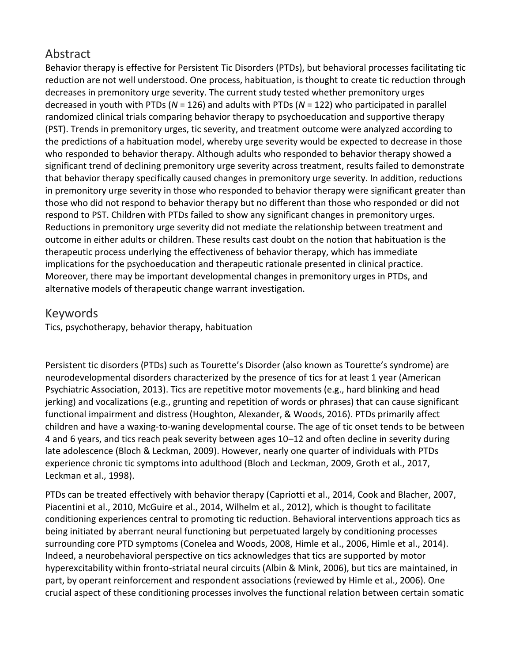### Abstract

Behavior therapy is effective for Persistent [Tic Disorders](https://www.sciencedirect.com/topics/medicine-and-dentistry/tic-disorder) (PTDs), but behavioral processes facilitating tic reduction are not well understood. One process, habituation, is thought to create tic reduction through decreases in premonitory urge severity. The current study tested whether premonitory urges decreased in youth with PTDs (*N* = 126) and adults with PTDs (*N* = 122) who participated in parallel [randomized clinical trials](https://www.sciencedirect.com/topics/medicine-and-dentistry/randomized-clinical-trial) comparing behavior therapy to [psychoeducation](https://www.sciencedirect.com/topics/medicine-and-dentistry/psychoeducation) and supportive therapy (PST). Trends in premonitory urges, tic severity, and treatment outcome were analyzed according to the predictions of a habituation model, whereby urge severity would be expected to decrease in those who responded to behavior therapy. Although adults who responded to behavior therapy showed a significant trend of declining premonitory urge severity across treatment, results failed to demonstrate that behavior therapy specifically caused changes in premonitory urge severity. In addition, reductions in premonitory urge severity in those who responded to behavior therapy were significant greater than those who did not respond to behavior therapy but no different than those who responded or did not respond to PST. Children with PTDs failed to show any significant changes in premonitory urges. Reductions in premonitory urge severity did not mediate the relationship between treatment and outcome in either adults or children. These results cast doubt on the notion that habituation is the therapeutic process underlying the effectiveness of behavior therapy, which has immediate implications for the psychoeducation and therapeutic rationale presented in clinical practice. Moreover, there may be important developmental changes in premonitory urges in PTDs, and alternative models of therapeutic change warrant investigation.

### Keywords

Tics, psychotherapy, behavior therapy, habituation

Persistent [tic disorders](https://www.sciencedirect.com/topics/medicine-and-dentistry/tic-disorder) (PTDs) such as Tourette's Disorder (also known as Tourette's syndrome) are [neurodevelopmental disorders](https://www.sciencedirect.com/topics/medicine-and-dentistry/neurodevelopmental-disorder) characterized by the presence of tics for at least 1 year [\(American](https://www.sciencedirect.com/science/article/pii/S0005789417300916?via%3Dihub#bb0025)  [Psychiatric Association, 2013\)](https://www.sciencedirect.com/science/article/pii/S0005789417300916?via%3Dihub#bb0025). Tics are repetitive motor movements (e.g., hard blinking and head jerking) and vocalizations (e.g., grunting and repetition of words or phrases) that can cause significant functional impairment and distress [\(Houghton, Alexander, & Woods, 2016\)](https://www.sciencedirect.com/science/article/pii/S0005789417300916?via%3Dihub#bb0210). PTDs primarily affect children and have a waxing-to-waning developmental course. The age of tic onset tends to be between 4 and 6 years, and tics reach peak severity between ages 10–12 and often decline in severity during late adolescence [\(Bloch & Leckman, 2009\)](https://www.sciencedirect.com/science/article/pii/S0005789417300916?via%3Dihub#bb0070). However, nearly one quarter of individuals with PTDs experience chronic tic symptoms into adulthood [\(Bloch and Leckman, 2009,](https://www.sciencedirect.com/science/article/pii/S0005789417300916?via%3Dihub#bb0070) [Groth et al., 2017,](https://www.sciencedirect.com/science/article/pii/S0005789417300916?via%3Dihub#bb0165) [Leckman et al., 1998\)](https://www.sciencedirect.com/science/article/pii/S0005789417300916?via%3Dihub#bb0265).

PTDs can be treated effectively with behavior therapy (Capriotti [et al., 2014,](https://www.sciencedirect.com/science/article/pii/S0005789417300916?via%3Dihub#bb0100) [Cook and Blacher, 2007,](https://www.sciencedirect.com/science/article/pii/S0005789417300916?via%3Dihub#bb0115) [Piacentini et al., 2010,](https://www.sciencedirect.com/science/article/pii/S0005789417300916?via%3Dihub#bb0295) [McGuire et al., 2014,](https://www.sciencedirect.com/science/article/pii/S0005789417300916?via%3Dihub#bb0285) [Wilhelm et al., 2012\)](https://www.sciencedirect.com/science/article/pii/S0005789417300916?via%3Dihub#bb0370), which is thought to facilitate conditioning experiences central to promoting tic reduction. Behavioral interventions approach tics as being initiated by aberrant neural functioning but perpetuated largely by conditioning processes surrounding core PTD symptoms [\(Conelea and Woods, 2008,](https://www.sciencedirect.com/science/article/pii/S0005789417300916?via%3Dihub#bb0110) [Himle et al., 2006,](https://www.sciencedirect.com/science/article/pii/S0005789417300916?via%3Dihub#bb0200) [Himle et al., 2014\)](https://www.sciencedirect.com/science/article/pii/S0005789417300916?via%3Dihub#bb0190). Indeed, a neurobehavioral perspective on tics acknowledges that tics are supported by motor hyperexcitability within fronto-striatal neural circuits [\(Albin & Mink, 2006\)](https://www.sciencedirect.com/science/article/pii/S0005789417300916?via%3Dihub#bb0020), but tics are maintained, in part, by operant reinforcement and respondent associations (reviewed by [Himle et al., 2006\)](https://www.sciencedirect.com/science/article/pii/S0005789417300916?via%3Dihub#bb0200). One crucial aspect of these conditioning processes involves the functional relation between certain [somatic](https://www.sciencedirect.com/topics/medicine-and-dentistry/somatics)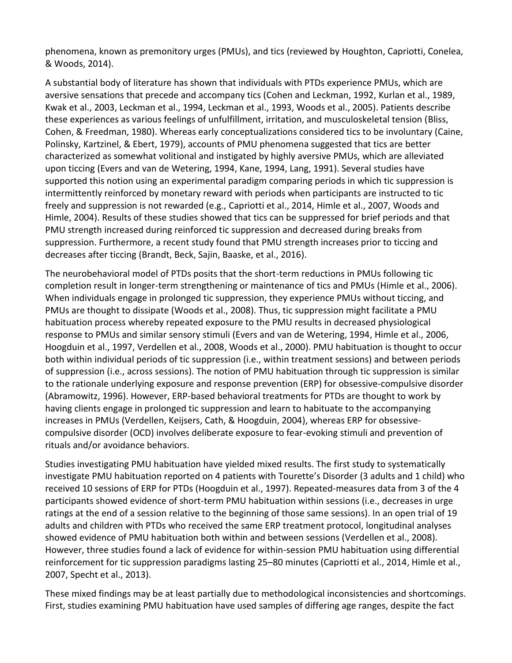phenomena, known as premonitory urges (PMUs), and tics (reviewed by [Houghton, Capriotti, Conelea,](https://www.sciencedirect.com/science/article/pii/S0005789417300916?via%3Dihub#bb0215)  [& Woods, 2014\)](https://www.sciencedirect.com/science/article/pii/S0005789417300916?via%3Dihub#bb0215).

A substantial body of literature has shown that individuals with PTDs experience PMUs, which are aversive sensations that precede and accompany tics [\(Cohen and Leckman, 1992,](https://www.sciencedirect.com/science/article/pii/S0005789417300916?via%3Dihub#bb0105) [Kurlan et al., 1989,](https://www.sciencedirect.com/science/article/pii/S0005789417300916?via%3Dihub#bb0235) [Kwak et al., 2003,](https://www.sciencedirect.com/science/article/pii/S0005789417300916?via%3Dihub#bb0240) [Leckman et al., 1994,](https://www.sciencedirect.com/science/article/pii/S0005789417300916?via%3Dihub#bb0260) [Leckman et al., 1993,](https://www.sciencedirect.com/science/article/pii/S0005789417300916?via%3Dihub#bb0255) [Woods et al., 2005\)](https://www.sciencedirect.com/science/article/pii/S0005789417300916?via%3Dihub#bb0390). Patients describe these experiences as various feelings of unfulfillment, irritation, and musculoskeletal tension [\(Bliss,](https://www.sciencedirect.com/science/article/pii/S0005789417300916?via%3Dihub#bb0065)  [Cohen, & Freedman, 1980\)](https://www.sciencedirect.com/science/article/pii/S0005789417300916?via%3Dihub#bb0065). Whereas early conceptualizations considered tics to be involuntary [\(Caine,](https://www.sciencedirect.com/science/article/pii/S0005789417300916?via%3Dihub#bb0085)  [Polinsky, Kartzinel, & Ebert, 1979\)](https://www.sciencedirect.com/science/article/pii/S0005789417300916?via%3Dihub#bb0085), accounts of PMU phenomena suggested that tics are better characterized as somewhat volitional and instigated by highly aversive PMUs, which are alleviated upon ticcing [\(Evers and van de Wetering, 1994,](https://www.sciencedirect.com/science/article/pii/S0005789417300916?via%3Dihub#bb0140) [Kane, 1994,](https://www.sciencedirect.com/science/article/pii/S0005789417300916?via%3Dihub#bb0225) [Lang, 1991\)](https://www.sciencedirect.com/science/article/pii/S0005789417300916?via%3Dihub#bb0245). Several studies have supported this notion using an experimental paradigm comparing periods in which tic suppression is intermittently reinforced by monetary reward with periods when participants are instructed to tic freely and suppression is not rewarded (e.g., [Capriotti et al., 2014,](https://www.sciencedirect.com/science/article/pii/S0005789417300916?via%3Dihub#bb0090) [Himle et al., 2007,](https://www.sciencedirect.com/science/article/pii/S0005789417300916?via%3Dihub#bb0195) [Woods and](https://www.sciencedirect.com/science/article/pii/S0005789417300916?via%3Dihub#bb0375)  [Himle, 2004\)](https://www.sciencedirect.com/science/article/pii/S0005789417300916?via%3Dihub#bb0375). Results of these studies showed that tics can be suppressed for brief periods and that PMU strength increased during reinforced tic suppression and decreased during breaks from suppression. Furthermore, a recent study found that PMU strength increases prior to ticcing and decreases after ticcing [\(Brandt, Beck, Sajin, Baaske, et al., 2016\)](https://www.sciencedirect.com/science/article/pii/S0005789417300916?via%3Dihub#bb0080).

The neurobehavioral model of PTDs posits that the short-term reductions in PMUs following tic completion result in longer-term strengthening or maintenance of tics and PMUs [\(Himle et al., 2006\)](https://www.sciencedirect.com/science/article/pii/S0005789417300916?via%3Dihub#bb0200). When individuals engage in prolonged tic suppression, they experience PMUs without ticcing, and PMUs are thought to dissipate [\(Woods et al., 2008\)](https://www.sciencedirect.com/science/article/pii/S0005789417300916?via%3Dihub#bb0385). Thus, tic suppression might facilitate a PMU habituation process whereby repeated exposure to the PMU results in decreased physiological response to PMUs and similar sensory stimuli [\(Evers and van de Wetering, 1994,](https://www.sciencedirect.com/science/article/pii/S0005789417300916?via%3Dihub#bb0140) [Himle et al., 2006,](https://www.sciencedirect.com/science/article/pii/S0005789417300916?via%3Dihub#bb0200) [Hoogduin et al., 1997,](https://www.sciencedirect.com/science/article/pii/S0005789417300916?via%3Dihub#bb0205) [Verdellen et al., 2008,](https://www.sciencedirect.com/science/article/pii/S0005789417300916?via%3Dihub#bb0355) [Woods et al., 2000\)](https://www.sciencedirect.com/science/article/pii/S0005789417300916?via%3Dihub#bb0380). PMU habituation is thought to occur both within individual periods of tic suppression (i.e., within treatment sessions) and between periods of suppression (i.e., across sessions). The notion of PMU habituation through tic suppression is similar to the rationale underlying exposure and response prevention (ERP) for [obsessive-compulsive disorder](https://www.sciencedirect.com/topics/medicine-and-dentistry/obsessive-compulsive-disorder) [\(Abramowitz, 1996\)](https://www.sciencedirect.com/science/article/pii/S0005789417300916?via%3Dihub#bb0010). However, ERP-based behavioral treatments for PTDs are thought to work by having clients engage in prolonged tic suppression and learn to habituate to the accompanying increases in PMUs [\(Verdellen, Keijsers, Cath, & Hoogduin, 2004\)](https://www.sciencedirect.com/science/article/pii/S0005789417300916?via%3Dihub#bb0360), whereas ERP for obsessivecompulsive disorder (OCD) involves deliberate exposure to fear-evoking stimuli and prevention of rituals and/or [avoidance behaviors.](https://www.sciencedirect.com/topics/medicine-and-dentistry/avoidant-personality-disorder)

Studies investigating PMU habituation have yielded mixed results. The first study to systematically investigate PMU habituation reported on 4 patients with Tourette's Disorder (3 adults and 1 child) who received 10 sessions of ERP for PTDs [\(Hoogduin et al., 1997\)](https://www.sciencedirect.com/science/article/pii/S0005789417300916?via%3Dihub#bb0205). Repeated-measures data from 3 of the 4 participants showed evidence of short-term PMU habituation within sessions (i.e., decreases in urge ratings at the end of a session relative to the beginning of those same sessions). In an open trial of 19 adults and children with PTDs who received the same ERP treatment protocol, longitudinal analyses showed evidence of PMU habituation both within and between sessions [\(Verdellen et al., 2008\)](https://www.sciencedirect.com/science/article/pii/S0005789417300916?via%3Dihub#bb0355). However, three studies found a lack of evidence for within-session PMU habituation using differential reinforcement for tic suppression paradigms lasting 25–80 minutes [\(Capriotti et al., 2014,](https://www.sciencedirect.com/science/article/pii/S0005789417300916?via%3Dihub#bb0090) [Himle et al.,](https://www.sciencedirect.com/science/article/pii/S0005789417300916?via%3Dihub#bb0195)  [2007,](https://www.sciencedirect.com/science/article/pii/S0005789417300916?via%3Dihub#bb0195) [Specht et al., 2013\)](https://www.sciencedirect.com/science/article/pii/S0005789417300916?via%3Dihub#bb0330).

These mixed findings may be at least partially due to methodological inconsistencies and shortcomings. First, studies examining PMU habituation have used samples of differing age ranges, despite the fact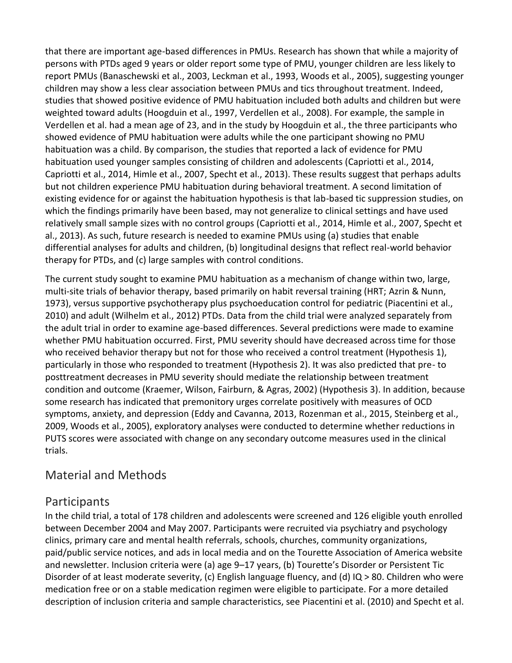that there are important age-based differences in PMUs. Research has shown that while a majority of persons with PTDs aged 9 years or older report some type of PMU, younger children are less likely to report PMUs [\(Banaschewski et al., 2003,](https://www.sciencedirect.com/science/article/pii/S0005789417300916?via%3Dihub#bb0035) [Leckman et al., 1993,](https://www.sciencedirect.com/science/article/pii/S0005789417300916?via%3Dihub#bb0255) [Woods et al., 2005\)](https://www.sciencedirect.com/science/article/pii/S0005789417300916?via%3Dihub#bb0390), suggesting younger children may show a less clear association between PMUs and tics throughout treatment. Indeed, studies that showed positive evidence of PMU habituation included both adults and children but were weighted toward adults [\(Hoogduin et al., 1997,](https://www.sciencedirect.com/science/article/pii/S0005789417300916?via%3Dihub#bb0205) [Verdellen et al., 2008\)](https://www.sciencedirect.com/science/article/pii/S0005789417300916?via%3Dihub#bb0355). For example, the sample in Verdellen et al. had a mean age of 23, and in the study by Hoogduin et al., the three participants who showed evidence of PMU habituation were adults while the one participant showing no PMU habituation was a child. By comparison, the studies that reported a lack of evidence for PMU habituation used younger samples consisting of children and adolescents [\(Capriotti et al., 2014,](https://www.sciencedirect.com/science/article/pii/S0005789417300916?via%3Dihub#bb0090) [Capriotti et al., 2014,](https://www.sciencedirect.com/science/article/pii/S0005789417300916?via%3Dihub#bb0100) [Himle et al., 2007,](https://www.sciencedirect.com/science/article/pii/S0005789417300916?via%3Dihub#bb0195) [Specht et al., 2013\)](https://www.sciencedirect.com/science/article/pii/S0005789417300916?via%3Dihub#bb0330). These results suggest that perhaps adults but not children experience PMU habituation during behavioral treatment. A second limitation of existing evidence for or against the habituation hypothesis is that lab-based tic suppression studies, on which the findings primarily have been based, may not generalize to clinical settings and have used relatively small sample sizes with no control groups [\(Capriotti et al., 2014,](https://www.sciencedirect.com/science/article/pii/S0005789417300916?via%3Dihub#bb0090) [Himle et al., 2007,](https://www.sciencedirect.com/science/article/pii/S0005789417300916?via%3Dihub#bb0195) [Specht et](https://www.sciencedirect.com/science/article/pii/S0005789417300916?via%3Dihub#bb0330)  [al., 2013\)](https://www.sciencedirect.com/science/article/pii/S0005789417300916?via%3Dihub#bb0330). As such, future research is needed to examine PMUs using (a) studies that enable differential analyses for adults and children, (b) longitudinal designs that reflect real-world behavior therapy for PTDs, and (c) large samples with control conditions.

The current study sought to examine PMU habituation as a mechanism of change within two, large, multi-site trials of behavior therapy, based primarily on habit reversal training (HRT; [Azrin & Nunn,](https://www.sciencedirect.com/science/article/pii/S0005789417300916?via%3Dihub#bb0030)  [1973\)](https://www.sciencedirect.com/science/article/pii/S0005789417300916?via%3Dihub#bb0030), versus supportive psychotherapy plus [psychoeducation](https://www.sciencedirect.com/topics/medicine-and-dentistry/psychoeducation) control for [pediatric](https://www.sciencedirect.com/topics/medicine-and-dentistry/pediatrics) [\(Piacentini et al.,](https://www.sciencedirect.com/science/article/pii/S0005789417300916?via%3Dihub#bb0295)  [2010\)](https://www.sciencedirect.com/science/article/pii/S0005789417300916?via%3Dihub#bb0295) and adult [\(Wilhelm et al., 2012\)](https://www.sciencedirect.com/science/article/pii/S0005789417300916?via%3Dihub#bb0370) PTDs. Data from the child trial were analyzed separately from the adult trial in order to examine age-based differences. Several predictions were made to examine whether PMU habituation occurred. First, PMU severity should have decreased across time for those who received behavior therapy but not for those who received a control treatment (Hypothesis 1), particularly in those who responded to treatment (Hypothesis 2). It was also predicted that pre- to posttreatment decreases in PMU severity should mediate the relationship between treatment condition and outcome [\(Kraemer, Wilson, Fairburn, & Agras, 2002\)](https://www.sciencedirect.com/science/article/pii/S0005789417300916?via%3Dihub#bb0230) (Hypothesis 3). In addition, because some research has indicated that premonitory urges correlate positively with measures of OCD symptoms, anxiety, and depression [\(Eddy and Cavanna, 2013,](https://www.sciencedirect.com/science/article/pii/S0005789417300916?via%3Dihub#bb0135) [Rozenman et al., 2015,](https://www.sciencedirect.com/science/article/pii/S0005789417300916?via%3Dihub#bb0310) [Steinberg et al.,](https://www.sciencedirect.com/science/article/pii/S0005789417300916?via%3Dihub#bb0345)  [2009,](https://www.sciencedirect.com/science/article/pii/S0005789417300916?via%3Dihub#bb0345) [Woods et al., 2005\)](https://www.sciencedirect.com/science/article/pii/S0005789417300916?via%3Dihub#bb0390), exploratory analyses were conducted to determine whether reductions in PUTS scores were associated with change on any secondary outcome measures used in the clinical trials.

### Material and Methods

### Participants

In the child trial, a total of 178 children and adolescents were screened and 126 eligible youth enrolled between December 2004 and May 2007. Participants were recruited via psychiatry and psychology clinics, primary care and mental health referrals, schools, churches, community organizations, paid/public service notices, and ads in local media and on the Tourette Association of America website and newsletter. Inclusion criteria were (a) age 9–17 years, (b) Tourette's Disorder or Persistent [Tic](https://www.sciencedirect.com/topics/medicine-and-dentistry/tic-disorder)  [Disorder](https://www.sciencedirect.com/topics/medicine-and-dentistry/tic-disorder) of at least moderate severity, (c) English language fluency, and (d) IQ > 80. Children who were medication free or on a stable medication regimen were eligible to participate. For a more detailed description of inclusion criteria and sample characteristics, see [Piacentini et al. \(2010\)](https://www.sciencedirect.com/science/article/pii/S0005789417300916?via%3Dihub#bb0295) an[d Specht et al.](https://www.sciencedirect.com/science/article/pii/S0005789417300916?via%3Dihub#bb0335)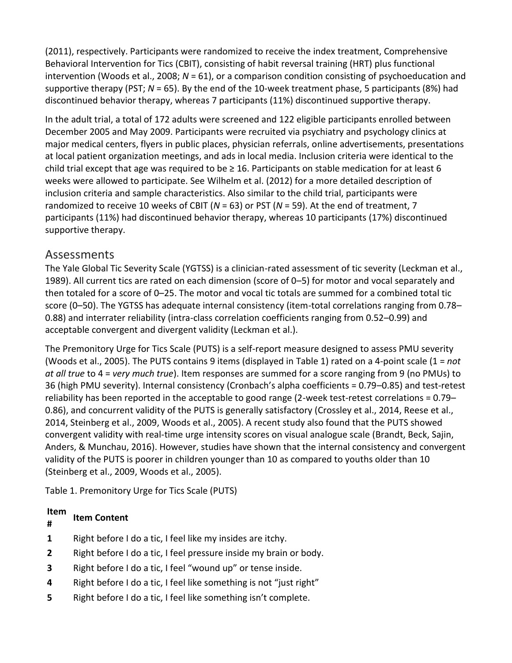[\(2011\),](https://www.sciencedirect.com/science/article/pii/S0005789417300916?via%3Dihub#bb0335) respectively. Participants were randomized to receive the index treatment, Comprehensive [Behavioral Intervention](https://www.sciencedirect.com/topics/medicine-and-dentistry/behavioral-intervention) for Tics (CBIT), consisting of habit reversal training (HRT) plus functional intervention [\(Woods et al., 2008;](https://www.sciencedirect.com/science/article/pii/S0005789417300916?via%3Dihub#bb0385) *N* = 61), or a comparison condition consisting of [psychoeducation](https://www.sciencedirect.com/topics/medicine-and-dentistry/psychoeducation) and supportive therapy (PST; *N* = 65). By the end of the 10-week treatment phase, 5 participants (8%) had discontinued behavior therapy, whereas 7 participants (11%) discontinued supportive therapy.

In the adult trial, a total of 172 adults were screened and 122 eligible participants enrolled between December 2005 and May 2009. Participants were recruited via psychiatry and psychology clinics at major medical centers, flyers in public places, physician referrals, online advertisements, presentations at local patient organization meetings, and ads in local media. Inclusion criteria were identical to the child trial except that age was required to be  $\geq 16$ . Participants on stable medication for at least 6 weeks were allowed to participate. See [Wilhelm et al. \(2012\)](https://www.sciencedirect.com/science/article/pii/S0005789417300916?via%3Dihub#bb0370) for a more detailed description of inclusion criteria and sample characteristics. Also similar to the child trial, participants were randomized to receive 10 weeks of CBIT (*N* = 63) or PST (*N* = 59). At the end of treatment, 7 participants (11%) had discontinued behavior therapy, whereas 10 participants (17%) discontinued supportive therapy.

### Assessments

The Yale Global Tic Severity Scale (YGTSS) is a clinician-rated assessment of tic severity [\(Leckman et al.,](https://www.sciencedirect.com/science/article/pii/S0005789417300916?via%3Dihub#bb0250)  [1989\)](https://www.sciencedirect.com/science/article/pii/S0005789417300916?via%3Dihub#bb0250). All current tics are rated on each dimension (score of 0–5) for motor and vocal separately and then totaled for a score of 0–25. The motor and vocal tic totals are summed for a combined total tic score (0–50). The YGTSS has adequate internal consistency (item-total correlations ranging from 0.78– 0.88) and interrater reliability (intra-class correlation coefficients ranging from 0.52–0.99) and acceptable convergent and divergent validity (Leckman et al.).

The Premonitory Urge for Tics Scale (PUTS) is a self-report measure designed to assess PMU severity [\(Woods et al., 2005\)](https://www.sciencedirect.com/science/article/pii/S0005789417300916?via%3Dihub#bb0390). The PUTS contains 9 items (displayed in [Table 1\)](https://www.sciencedirect.com/science/article/pii/S0005789417300916?via%3Dihub#t0005) rated on a 4-point scale (1 = *not at all true* to 4 = *very much true*). Item responses are summed for a score ranging from 9 (no PMUs) to 36 (high PMU severity). Internal consistency (Cronbach's alpha coefficients = 0.79–0.85) and test-retest reliability has been reported in the acceptable to good range (2-week test-retest correlations = 0.79– 0.86), and concurrent validity of the PUTS is generally satisfactory [\(Crossley et al., 2014,](https://www.sciencedirect.com/science/article/pii/S0005789417300916?via%3Dihub#bb0120) [Reese et al.,](https://www.sciencedirect.com/science/article/pii/S0005789417300916?via%3Dihub#bb0300)  [2014,](https://www.sciencedirect.com/science/article/pii/S0005789417300916?via%3Dihub#bb0300) [Steinberg et al., 2009,](https://www.sciencedirect.com/science/article/pii/S0005789417300916?via%3Dihub#bb0345) [Woods et al., 2005\)](https://www.sciencedirect.com/science/article/pii/S0005789417300916?via%3Dihub#bb0390). A recent study also found that the PUTS showed convergent validity with real-time urge intensity scores on visual analogue scale [\(Brandt, Beck, Sajin,](https://www.sciencedirect.com/science/article/pii/S0005789417300916?via%3Dihub#bb0075)  [Anders, & Munchau, 2016\)](https://www.sciencedirect.com/science/article/pii/S0005789417300916?via%3Dihub#bb0075). However, studies have shown that the internal consistency and convergent validity of the PUTS is poorer in children younger than 10 as compared to youths older than 10 [\(Steinberg et al., 2009,](https://www.sciencedirect.com/science/article/pii/S0005789417300916?via%3Dihub#bb0345) [Woods et al., 2005\)](https://www.sciencedirect.com/science/article/pii/S0005789417300916?via%3Dihub#bb0390).

Table 1. Premonitory Urge for Tics Scale (PUTS)

#### **Item Item Content**

**#**

- **1** Right before I do a tic, I feel like my insides are itchy.
- **2** Right before I do a tic, I feel pressure inside my brain or body.
- **3** Right before I do a tic, I feel "wound up" or tense inside.
- **4** Right before I do a tic, I feel like something is not "just right"
- **5** Right before I do a tic, I feel like something isn't complete.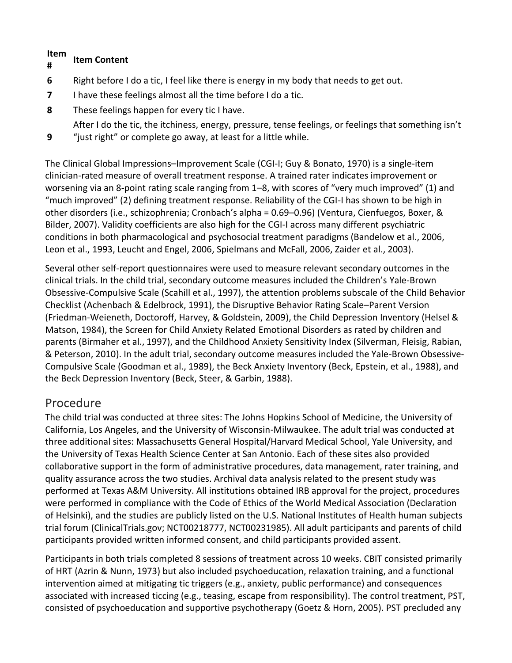#### **Item # Item Content**

**9**

- **6** Right before I do a tic, I feel like there is energy in my body that needs to get out.
- **7** I have these feelings almost all the time before I do a tic.
- **8** These feelings happen for every tic I have.

After I do the tic, the itchiness, energy, pressure, tense feelings, or feelings that something isn't "just right" or complete go away, at least for a little while.

The [Clinical Global Impressions](https://www.sciencedirect.com/topics/medicine-and-dentistry/clinical-global-impression)–Improvement Scale (CGI-I; [Guy & Bonato, 1970\)](https://www.sciencedirect.com/science/article/pii/S0005789417300916?via%3Dihub#bb0170) is a single-item clinician-rated measure of overall treatment response. A trained rater indicates improvement or worsening via an 8-point rating scale ranging from 1–8, with scores of "very much improved" (1) and "much improved" (2) defining treatment response. Reliability of the CGI-I has shown to be high in other disorders (i.e., [schizophrenia](https://www.sciencedirect.com/topics/medicine-and-dentistry/schizophrenia); Cronbach's alpha = 0.69–0.96) [\(Ventura, Cienfuegos, Boxer, &](https://www.sciencedirect.com/science/article/pii/S0005789417300916?via%3Dihub#bb0350)  [Bilder, 2007\)](https://www.sciencedirect.com/science/article/pii/S0005789417300916?via%3Dihub#bb0350). Validity coefficients are also high for the CGI-I across many different psychiatric conditions in both pharmacological and [psychosocial treatment](https://www.sciencedirect.com/topics/medicine-and-dentistry/psychosocial-treatment) paradigms [\(Bandelow et al., 2006,](https://www.sciencedirect.com/science/article/pii/S0005789417300916?via%3Dihub#bb0040) [Leon et al., 1993,](https://www.sciencedirect.com/science/article/pii/S0005789417300916?via%3Dihub#bb0270) [Leucht and Engel, 2006,](https://www.sciencedirect.com/science/article/pii/S0005789417300916?via%3Dihub#bb0275) [Spielmans and McFall, 2006,](https://www.sciencedirect.com/science/article/pii/S0005789417300916?via%3Dihub#bb0340) [Zaider et al., 2003\)](https://www.sciencedirect.com/science/article/pii/S0005789417300916?via%3Dihub#bb0395).

Several other self-report questionnaires were used to measure relevant secondary outcomes in the clinical trials. In the child trial, secondary outcome measures included the Children's [Yale-Brown](https://www.sciencedirect.com/topics/medicine-and-dentistry/yale-brown-obsessive-compulsive-scale)  [Obsessive-Compulsive Scale](https://www.sciencedirect.com/topics/medicine-and-dentistry/yale-brown-obsessive-compulsive-scale) [\(Scahill et al., 1997\)](https://www.sciencedirect.com/science/article/pii/S0005789417300916?via%3Dihub#bb0315), the attention problems subscale of the Child Behavior Checklist [\(Achenbach & Edelbrock, 1991\)](https://www.sciencedirect.com/science/article/pii/S0005789417300916?via%3Dihub#bb0015), the Disruptive Behavior Rating Scale–Parent Version [\(Friedman-Weieneth, Doctoroff, Harvey, & Goldstein, 2009\)](https://www.sciencedirect.com/science/article/pii/S0005789417300916?via%3Dihub#bb0145), the [Child Depression Inventory](https://www.sciencedirect.com/topics/medicine-and-dentistry/childrens-depression-inventory) [\(Helsel &](https://www.sciencedirect.com/science/article/pii/S0005789417300916?via%3Dihub#bb0185)  [Matson, 1984\)](https://www.sciencedirect.com/science/article/pii/S0005789417300916?via%3Dihub#bb0185), the Screen for Child Anxiety Related [Emotional Disorders](https://www.sciencedirect.com/topics/medicine-and-dentistry/emotional-and-behavioral-disorders) as rated by children and parents [\(Birmaher et al., 1997\)](https://www.sciencedirect.com/science/article/pii/S0005789417300916?via%3Dihub#bb0060), and the Childhood Anxiety Sensitivity Index [\(Silverman, Fleisig, Rabian,](https://www.sciencedirect.com/science/article/pii/S0005789417300916?via%3Dihub#bb0320)  [& Peterson, 2010\)](https://www.sciencedirect.com/science/article/pii/S0005789417300916?via%3Dihub#bb0320). In the adult trial, secondary outcome measures included the Yale-Brown Obsessive-Compulsive Scale [\(Goodman et al., 1989\)](https://www.sciencedirect.com/science/article/pii/S0005789417300916?via%3Dihub#bb0160), the [Beck Anxiety Inventory](https://www.sciencedirect.com/topics/medicine-and-dentistry/beck-anxiety-inventory) [\(Beck, Epstein, et al., 1988\)](https://www.sciencedirect.com/science/article/pii/S0005789417300916?via%3Dihub#bb0050), and the [Beck Depression Inventory](https://www.sciencedirect.com/topics/medicine-and-dentistry/beck-depression-inventory) [\(Beck, Steer, & Garbin, 1988\)](https://www.sciencedirect.com/science/article/pii/S0005789417300916?via%3Dihub#bb0055).

### Procedure

The child trial was conducted at three sites: The Johns Hopkins School of Medicine, the University of California, Los Angeles, and the University of Wisconsin-Milwaukee. The adult trial was conducted at three additional sites: Massachusetts General Hospital/Harvard Medical School, Yale University, and the University of Texas Health Science Center at San Antonio. Each of these sites also provided collaborative support in the form of administrative procedures, data management, rater training, and quality assurance across the two studies. Archival data analysis related to the present study was performed at Texas A&M University. All institutions obtained IRB approval for the project, procedures were performed in compliance with the Code of Ethics of the World Medical Association (Declaration of Helsinki), and the studies are publicly listed on the U.S. National Institutes of Health human subjects trial forum [\(ClinicalTrials.gov;](http://clinicaltrials.gov/) NCT00218777, NCT00231985). All adult participants and parents of child participants provided written informed consent, and child participants provided assent.

Participants in both trials completed 8 sessions of treatment across 10 weeks. CBIT consisted primarily of HRT [\(Azrin & Nunn, 1973\)](https://www.sciencedirect.com/science/article/pii/S0005789417300916?via%3Dihub#bb0030) but also included psychoeducation, relaxation training, and a functional intervention aimed at mitigating tic triggers (e.g., anxiety, public performance) and consequences associated with increased ticcing (e.g., teasing, escape from responsibility). The control treatment, PST, consisted of psychoeducation and supportive psychotherapy [\(Goetz & Horn, 2005\)](https://www.sciencedirect.com/science/article/pii/S0005789417300916?via%3Dihub#bb0155). PST precluded any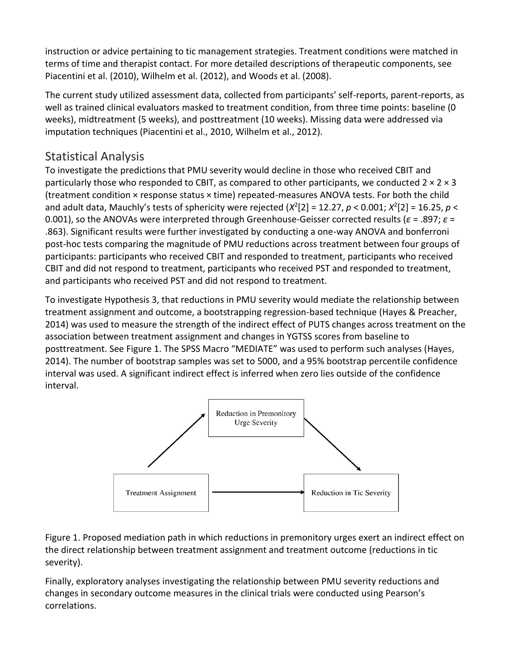instruction or advice pertaining to tic management strategies. Treatment conditions were matched in terms of time and therapist contact. For more detailed descriptions of therapeutic components, see [Piacentini et al. \(2010\),](https://www.sciencedirect.com/science/article/pii/S0005789417300916?via%3Dihub#bb0295) [Wilhelm et al. \(2012\),](https://www.sciencedirect.com/science/article/pii/S0005789417300916?via%3Dihub#bb0370) an[d Woods et al. \(2008\).](https://www.sciencedirect.com/science/article/pii/S0005789417300916?via%3Dihub#bb0385)

The current study utilized assessment data, collected from participants' self-reports, parent-reports, as well as trained clinical evaluators masked to treatment condition, from three time points: baseline (0 weeks), midtreatment (5 weeks), and posttreatment (10 weeks). Missing data were addressed via imputation techniques [\(Piacentini et al., 2010,](https://www.sciencedirect.com/science/article/pii/S0005789417300916?via%3Dihub#bb0295) [Wilhelm et al., 2012\)](https://www.sciencedirect.com/science/article/pii/S0005789417300916?via%3Dihub#bb0370).

### Statistical Analysis

To investigate the predictions that PMU severity would decline in those who received CBIT and particularly those who responded to CBIT, as compared to other participants, we conducted  $2 \times 2 \times 3$ (treatment condition × response status × time) repeated-measures ANOVA tests. For both the child and adult data, Mauchly's tests of sphericity were rejected  $(X^2[2] = 12.27, p < 0.001; X^2[2] = 16.25, p <$ 0.001), so the ANOVAs were interpreted through Greenhouse-Geisser corrected results (*ε* = .897; *ε* = .863). Significant results were further investigated by conducting a one-way ANOVA and bonferroni [post-hoc tests](https://www.sciencedirect.com/topics/medicine-and-dentistry/post-hoc-analysis) comparing the magnitude of PMU reductions across treatment between four groups of participants: participants who received CBIT and responded to treatment, participants who received CBIT and did not respond to treatment, participants who received PST and responded to treatment, and participants who received PST and did not respond to treatment.

To investigate Hypothesis 3, that reductions in PMU severity would mediate the relationship between treatment assignment and outcome, a bootstrapping regression-based technique [\(Hayes & Preacher,](https://www.sciencedirect.com/science/article/pii/S0005789417300916?via%3Dihub#bb0180)  [2014\)](https://www.sciencedirect.com/science/article/pii/S0005789417300916?via%3Dihub#bb0180) was used to measure the strength of the indirect effect of PUTS changes across treatment on the association between treatment assignment and changes in YGTSS scores from baseline to posttreatment. See [Figure 1.](https://www.sciencedirect.com/science/article/pii/S0005789417300916?via%3Dihub#f0005) The SPSS Macro "MEDIATE" was used to perform such analyses ([Hayes,](https://www.sciencedirect.com/science/article/pii/S0005789417300916?via%3Dihub#bb0175)  [2014\)](https://www.sciencedirect.com/science/article/pii/S0005789417300916?via%3Dihub#bb0175). The number of bootstrap samples was set to 5000, and a 95% bootstrap percentile confidence interval was used. A significant indirect effect is inferred when zero lies outside of the confidence interval.



Figure 1. Proposed mediation path in which reductions in premonitory urges exert an indirect effect on the direct relationship between treatment assignment and treatment outcome (reductions in tic severity).

Finally, exploratory analyses investigating the relationship between PMU severity reductions and changes in secondary outcome measures in the clinical trials were conducted using Pearson's correlations.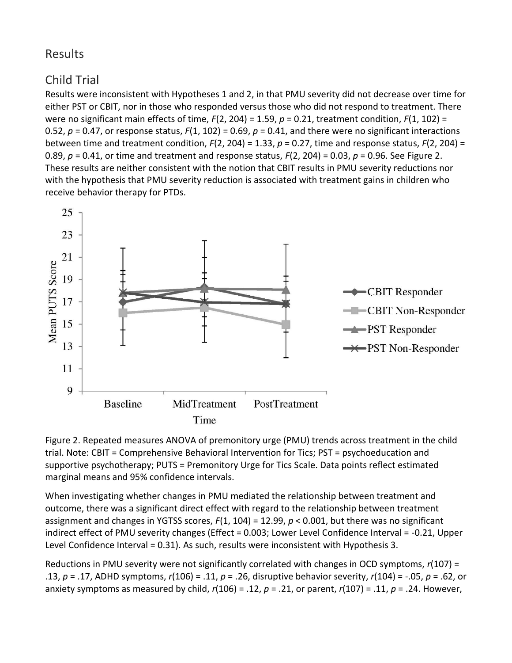### Results

### Child Trial

Results were inconsistent with Hypotheses 1 and 2, in that PMU severity did not decrease over time for either PST or CBIT, nor in those who responded versus those who did not respond to treatment. There were no significant main effects of time, *F*(2, 204) = 1.59, *p* = 0.21, treatment condition, *F*(1, 102) = 0.52,  $p = 0.47$ , or response status,  $F(1, 102) = 0.69$ ,  $p = 0.41$ , and there were no significant interactions between time and treatment condition, *F*(2, 204) = 1.33, *p* = 0.27, time and response status, *F*(2, 204) = 0.89, *p* = 0.41, or time and treatment and response status, *F*(2, 204) = 0.03, *p* = 0.96. See [Figure 2.](https://www.sciencedirect.com/science/article/pii/S0005789417300916?via%3Dihub#f0010) These results are neither consistent with the notion that CBIT results in PMU severity reductions nor with the hypothesis that PMU severity reduction is associated with treatment gains in children who receive behavior therapy for PTDs.



Figure 2. Repeated measures ANOVA of premonitory urge (PMU) trends across treatment in the child trial. Note: CBIT = Comprehensive [Behavioral Intervention](https://www.sciencedirect.com/topics/medicine-and-dentistry/behavioral-intervention) for Tics; PST = [psychoeducation](https://www.sciencedirect.com/topics/medicine-and-dentistry/psychoeducation) and supportive psychotherapy; PUTS = Premonitory Urge for Tics Scale. Data points reflect estimated marginal means and 95% confidence intervals.

When investigating whether changes in PMU mediated the relationship between treatment and outcome, there was a significant direct effect with regard to the relationship between treatment assignment and changes in YGTSS scores, *F*(1, 104) = 12.99, *p* < 0.001, but there was no significant indirect effect of PMU severity changes (Effect = 0.003; Lower Level Confidence Interval = -0.21, Upper Level Confidence Interval = 0.31). As such, results were inconsistent with Hypothesis 3.

Reductions in PMU severity were not significantly correlated with changes in OCD symptoms, *r*(107) = .13, *p* = .17, [ADHD](https://www.sciencedirect.com/topics/medicine-and-dentistry/attention-deficit-hyperactivity-disorder) symptoms, *r*(106) = .11, *p* = .26, disruptive behavior severity, *r*(104) = -.05, *p* = .62, or anxiety symptoms as measured by child, *r*(106) = .12, *p* = .21, or parent, *r*(107) = .11, *p* = .24. However,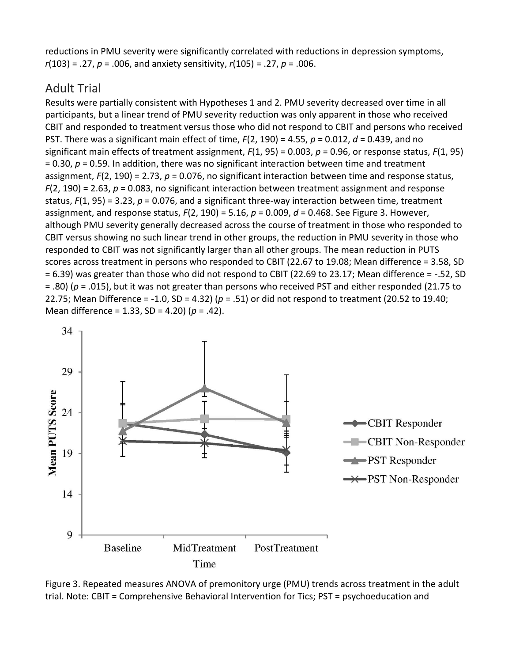reductions in PMU severity were significantly correlated with reductions in [depression symptoms,](https://www.sciencedirect.com/topics/medicine-and-dentistry/major-depressive-disorder) *r*(103) = .27, *p* = .006, and anxiety sensitivity, *r*(105) = .27, *p* = .006.

### Adult Trial

Results were partially consistent with Hypotheses 1 and 2. PMU severity decreased over time in all participants, but a linear trend of PMU severity reduction was only apparent in those who received CBIT and responded to treatment versus those who did not respond to CBIT and persons who received PST. There was a significant main effect of time, *F*(2, 190) = 4.55, *p* = 0.012, *d* = 0.439, and no significant main effects of treatment assignment, *F*(1, 95) = 0.003, *p* = 0.96, or response status, *F*(1, 95) = 0.30, *p* = 0.59. In addition, there was no significant interaction between time and treatment assignment, *F*(2, 190) = 2.73, *p* = 0.076, no significant interaction between time and response status, *F*(2, 190) = 2.63, *p* = 0.083, no significant interaction between treatment assignment and response status,  $F(1, 95) = 3.23$ ,  $p = 0.076$ , and a significant three-way interaction between time, treatment assignment, and response status, *F*(2, 190) = 5.16, *p* = 0.009, *d* = 0.468. See [Figure 3.](https://www.sciencedirect.com/science/article/pii/S0005789417300916?via%3Dihub#f0015) However, although PMU severity generally decreased across the course of treatment in those who responded to CBIT versus showing no such linear trend in other groups, the reduction in PMU severity in those who responded to CBIT was not significantly larger than all other groups. The mean reduction in PUTS scores across treatment in persons who responded to CBIT (22.67 to 19.08; Mean difference = 3.58, SD = 6.39) was greater than those who did not respond to CBIT (22.69 to 23.17; Mean difference = -.52, SD = .80) (*p* = .015), but it was not greater than persons who received PST and either responded (21.75 to 22.75; Mean Difference = -1.0, SD = 4.32) (*p* = .51) or did not respond to treatment (20.52 to 19.40; Mean difference = 1.33, SD = 4.20) (*p* = .42).



Figure 3. Repeated measures ANOVA of premonitory urge (PMU) trends across treatment in the adult trial. Note: CBIT = Comprehensive [Behavioral Intervention](https://www.sciencedirect.com/topics/medicine-and-dentistry/behavioral-intervention) for Tics; PST = [psychoeducation](https://www.sciencedirect.com/topics/medicine-and-dentistry/psychoeducation) and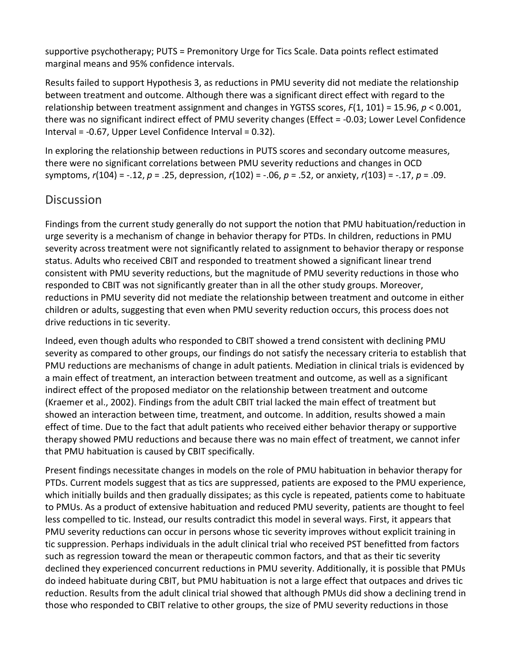supportive psychotherapy; PUTS = Premonitory Urge for Tics Scale. Data points reflect estimated marginal means and 95% confidence intervals.

Results failed to support Hypothesis 3, as reductions in PMU severity did not mediate the relationship between treatment and outcome. Although there was a significant direct effect with regard to the relationship between treatment assignment and changes in YGTSS scores, *F*(1, 101) = 15.96, *p* < 0.001, there was no significant indirect effect of PMU severity changes (Effect = -0.03; Lower Level Confidence Interval = -0.67, Upper Level Confidence Interval = 0.32).

In exploring the relationship between reductions in PUTS scores and secondary outcome measures, there were no significant correlations between PMU severity reductions and changes in OCD symptoms, *r*(104) = -.12, *p* = .25, depression, *r*(102) = -.06, *p* = .52, or anxiety, *r*(103) = -.17, *p* = .09.

### **Discussion**

Findings from the current study generally do not support the notion that PMU habituation/reduction in urge severity is a mechanism of change in behavior therapy for PTDs. In children, reductions in PMU severity across treatment were not significantly related to assignment to behavior therapy or response status. Adults who received CBIT and responded to treatment showed a significant linear trend consistent with PMU severity reductions, but the magnitude of PMU severity reductions in those who responded to CBIT was not significantly greater than in all the other study groups. Moreover, reductions in PMU severity did not mediate the relationship between treatment and outcome in either children or adults, suggesting that even when PMU severity reduction occurs, this process does not drive reductions in tic severity.

Indeed, even though adults who responded to CBIT showed a trend consistent with declining PMU severity as compared to other groups, our findings do not satisfy the necessary criteria to establish that PMU reductions are mechanisms of change in adult patients. Mediation in clinical trials is evidenced by a main effect of treatment, an interaction between treatment and outcome, as well as a significant indirect effect of the proposed mediator on the relationship between treatment and outcome [\(Kraemer et al., 2002\)](https://www.sciencedirect.com/science/article/pii/S0005789417300916?via%3Dihub#bb0230). Findings from the adult CBIT trial lacked the main effect of treatment but showed an interaction between time, treatment, and outcome. In addition, results showed a main effect of time. Due to the fact that adult patients who received either behavior therapy or supportive therapy showed PMU reductions and because there was no main effect of treatment, we cannot infer that PMU habituation is caused by CBIT specifically.

Present findings necessitate changes in models on the role of PMU habituation in behavior therapy for PTDs. Current models suggest that as tics are suppressed, patients are exposed to the PMU experience, which initially builds and then gradually dissipates; as this cycle is repeated, patients come to habituate to PMUs. As a product of extensive habituation and reduced PMU severity, patients are thought to feel less compelled to tic. Instead, our results contradict this model in several ways. First, it appears that PMU severity reductions can occur in persons whose tic severity improves without explicit training in tic suppression. Perhaps individuals in the adult clinical trial who received PST benefitted from factors such as regression toward the mean or therapeutic common factors, and that as their tic severity declined they experienced concurrent reductions in PMU severity. Additionally, it is possible that PMUs do indeed habituate during CBIT, but PMU habituation is not a large effect that outpaces and drives tic reduction. Results from the adult clinical trial showed that although PMUs did show a declining trend in those who responded to CBIT relative to other groups, the size of PMU severity reductions in those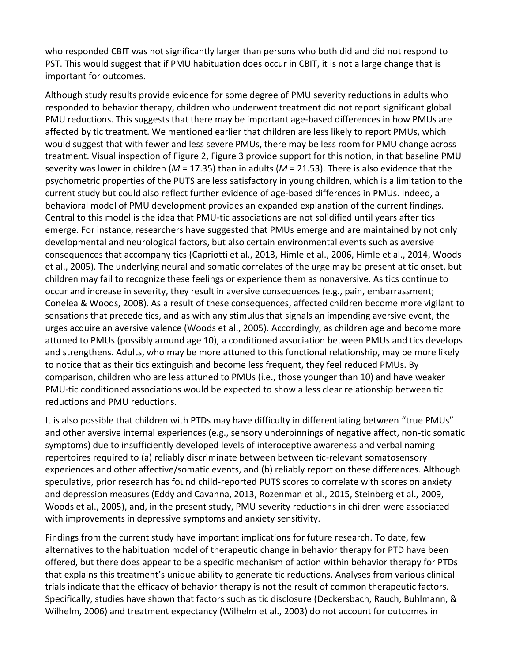who responded CBIT was not significantly larger than persons who both did and did not respond to PST. This would suggest that if PMU habituation does occur in CBIT, it is not a large change that is important for outcomes.

Although study results provide evidence for some degree of PMU severity reductions in adults who responded to behavior therapy, children who underwent treatment did not report significant global PMU reductions. This suggests that there may be important age-based differences in how PMUs are affected by tic treatment. We mentioned earlier that children are less likely to report PMUs, which would suggest that with fewer and less severe PMUs, there may be less room for PMU change across treatment. Visual inspection of [Figure 2,](https://www.sciencedirect.com/science/article/pii/S0005789417300916?via%3Dihub#f0010) [Figure 3](https://www.sciencedirect.com/science/article/pii/S0005789417300916?via%3Dihub#f0015) provide support for this notion, in that baseline PMU severity was lower in children (*M* = 17.35) than in adults (*M* = 21.53). There is also evidence that the psychometric properties of the PUTS are less satisfactory in young children, which is a limitation to the current study but could also reflect further evidence of age-based differences in PMUs. Indeed, a behavioral model of PMU development provides an expanded explanation of the current findings. Central to this model is the idea that PMU-tic associations are not solidified until years after tics emerge. For instance, researchers have suggested that PMUs emerge and are maintained by not only developmental and neurological factors, but also certain environmental events such as aversive consequences that accompany tics [\(Capriotti et al., 2013,](https://www.sciencedirect.com/science/article/pii/S0005789417300916?via%3Dihub#bb0095) [Himle et al., 2006,](https://www.sciencedirect.com/science/article/pii/S0005789417300916?via%3Dihub#bb0200) [Himle et al., 2014,](https://www.sciencedirect.com/science/article/pii/S0005789417300916?via%3Dihub#bb0190) [Woods](https://www.sciencedirect.com/science/article/pii/S0005789417300916?via%3Dihub#bb0390)  [et al., 2005\)](https://www.sciencedirect.com/science/article/pii/S0005789417300916?via%3Dihub#bb0390). The underlying neural and [somatic](https://www.sciencedirect.com/topics/medicine-and-dentistry/somatics) correlates of the urge may be present at tic onset, but children may fail to recognize these feelings or experience them as nonaversive. As tics continue to occur and increase in severity, they result in aversive consequences (e.g., pain, embarrassment; [Conelea & Woods, 2008\)](https://www.sciencedirect.com/science/article/pii/S0005789417300916?via%3Dihub#bb0110). As a result of these consequences, affected children become more vigilant to sensations that precede tics, and as with any stimulus that signals an impending aversive event, the urges acquire an aversive valence [\(Woods et al., 2005\)](https://www.sciencedirect.com/science/article/pii/S0005789417300916?via%3Dihub#bb0390). Accordingly, as children age and become more attuned to PMUs (possibly around age 10), a conditioned association between PMUs and tics develops and strengthens. Adults, who may be more attuned to this functional relationship, may be more likely to notice that as their tics extinguish and become less frequent, they feel reduced PMUs. By comparison, children who are less attuned to PMUs (i.e., those younger than 10) and have weaker PMU-tic conditioned associations would be expected to show a less clear relationship between tic reductions and PMU reductions.

It is also possible that children with PTDs may have difficulty in differentiating between "true PMUs" and other aversive internal experiences (e.g., sensory underpinnings of negative affect, non-tic somatic symptoms) due to insufficiently developed levels of interoceptive awareness and verbal naming repertoires required to (a) reliably discriminate between between tic-relevant somatosensory experiences and other affective/somatic events, and (b) reliably report on these differences. Although speculative, prior research has found child-reported PUTS scores to correlate with scores on anxiety and depression measures [\(Eddy and Cavanna, 2013,](https://www.sciencedirect.com/science/article/pii/S0005789417300916?via%3Dihub#bb0135) [Rozenman et al., 2015,](https://www.sciencedirect.com/science/article/pii/S0005789417300916?via%3Dihub#bb0310) [Steinberg et al., 2009,](https://www.sciencedirect.com/science/article/pii/S0005789417300916?via%3Dihub#bb0345) [Woods et al., 2005\)](https://www.sciencedirect.com/science/article/pii/S0005789417300916?via%3Dihub#bb0390), and, in the present study, PMU severity reductions in children were associated with improvements in depressive symptoms and anxiety sensitivity.

Findings from the current study have important implications for future research. To date, few alternatives to the habituation model of therapeutic change in behavior therapy for PTD have been offered, but there does appear to be a specific mechanism of action within behavior therapy for PTDs that explains this treatment's unique ability to generate tic reductions. Analyses from various clinical trials indicate that the efficacy of behavior therapy is not the result of common therapeutic factors. Specifically, studies have shown that factors such as tic disclosure [\(Deckersbach, Rauch, Buhlmann, &](https://www.sciencedirect.com/science/article/pii/S0005789417300916?via%3Dihub#bb0130)  [Wilhelm, 2006\)](https://www.sciencedirect.com/science/article/pii/S0005789417300916?via%3Dihub#bb0130) and treatment expectancy [\(Wilhelm et al., 2003\)](https://www.sciencedirect.com/science/article/pii/S0005789417300916?via%3Dihub#bb0365) do not account for outcomes in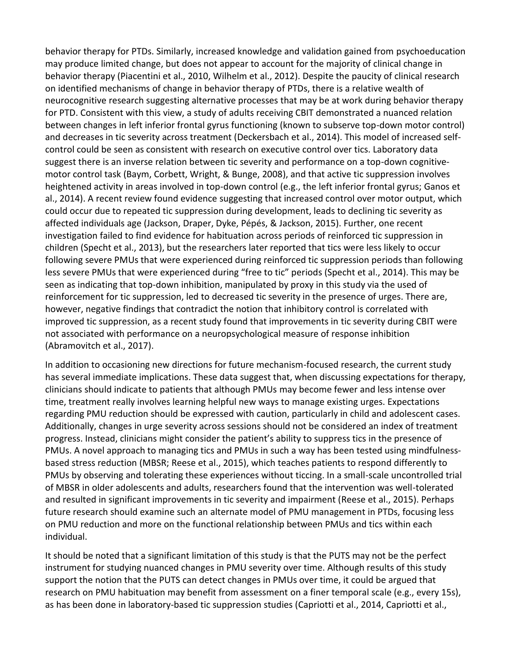behavior therapy for PTDs. Similarly, increased knowledge and validation gained from [psychoeducation](https://www.sciencedirect.com/topics/medicine-and-dentistry/psychoeducation) may produce limited change, but does not appear to account for the majority of clinical change in behavior therapy [\(Piacentini et al., 2010,](https://www.sciencedirect.com/science/article/pii/S0005789417300916?via%3Dihub#bb0295) [Wilhelm et al., 2012\)](https://www.sciencedirect.com/science/article/pii/S0005789417300916?via%3Dihub#bb0370). Despite the paucity of clinical research on identified mechanisms of change in behavior therapy of PTDs, there is a relative wealth of neurocognitive research suggesting alternative processes that may be at work during behavior therapy for PTD. Consistent with this view, a study of adults receiving CBIT demonstrated a nuanced relation between changes in left inferior frontal gyrus functioning (known to subserve top-down motor control) and decreases in tic severity across treatment [\(Deckersbach et al., 2014\)](https://www.sciencedirect.com/science/article/pii/S0005789417300916?via%3Dihub#bb0125). This model of increased selfcontrol could be seen as consistent with research on executive control over tics. Laboratory data suggest there is an inverse relation between tic severity and performance on a top-down cognitivemotor control task [\(Baym, Corbett, Wright, & Bunge, 2008\)](https://www.sciencedirect.com/science/article/pii/S0005789417300916?via%3Dihub#bb0045), and that active tic suppression involves heightened activity in areas involved in top-down control (e.g., the left inferior frontal gyrus; [Ganos et](https://www.sciencedirect.com/science/article/pii/S0005789417300916?via%3Dihub#bb0150)  [al., 2014\)](https://www.sciencedirect.com/science/article/pii/S0005789417300916?via%3Dihub#bb0150). A recent review found evidence suggesting that increased control over motor output, which could occur due to repeated tic suppression during development, leads to declining tic severity as affected individuals age [\(Jackson, Draper, Dyke, Pépés, & Jackson, 2015\)](https://www.sciencedirect.com/science/article/pii/S0005789417300916?via%3Dihub#bb0220). Further, one recent investigation failed to find evidence for habituation across periods of reinforced tic suppression in children [\(Specht et al., 2013\)](https://www.sciencedirect.com/science/article/pii/S0005789417300916?via%3Dihub#bb0330), but the researchers later reported that tics were less likely to occur following severe PMUs that were experienced during reinforced tic suppression periods than following less severe PMUs that were experienced during "free to tic" periods [\(Specht et al., 2014\)](https://www.sciencedirect.com/science/article/pii/S0005789417300916?via%3Dihub#bb0325). This may be seen as indicating that top-down inhibition, manipulated by proxy in this study via the used of reinforcement for tic suppression, led to decreased tic severity in the presence of urges. There are, however, negative findings that contradict the notion that inhibitory control is correlated with improved tic suppression, as a recent study found that improvements in tic severity during CBIT were not associated with performance on a neuropsychological measure of response inhibition [\(Abramovitch et al., 2017\)](https://www.sciencedirect.com/science/article/pii/S0005789417300916?via%3Dihub#bb0005).

In addition to occasioning new directions for future mechanism-focused research, the current study has several immediate implications. These data suggest that, when discussing expectations for therapy, clinicians should indicate to patients that although PMUs may become fewer and less intense over time, treatment really involves learning helpful new ways to manage existing urges. Expectations regarding PMU reduction should be expressed with caution, particularly in child and adolescent cases. Additionally, changes in urge severity across sessions should not be considered an index of treatment progress. Instead, clinicians might consider the patient's ability to suppress tics in the presence of PMUs. A novel approach to managing tics and PMUs in such a way has been tested using [mindfulness](https://www.sciencedirect.com/topics/medicine-and-dentistry/mindfulness-based-stress-reduction)[based stress reduction](https://www.sciencedirect.com/topics/medicine-and-dentistry/mindfulness-based-stress-reduction) (MBSR; [Reese et al., 2015\)](https://www.sciencedirect.com/science/article/pii/S0005789417300916?via%3Dihub#bb0305), which teaches patients to respond differently to PMUs by observing and tolerating these experiences without ticcing. In a small-scale uncontrolled trial of [MBSR](https://www.sciencedirect.com/topics/medicine-and-dentistry/mindfulness-based-stress-reduction) in older adolescents and adults, researchers found that the intervention was well-tolerated and resulted in significant improvements in tic severity and impairment [\(Reese et al., 2015\)](https://www.sciencedirect.com/science/article/pii/S0005789417300916?via%3Dihub#bb0305). Perhaps future research should examine such an alternate model of PMU management in PTDs, focusing less on PMU reduction and more on the functional relationship between PMUs and tics within each individual.

It should be noted that a significant limitation of this study is that the PUTS may not be the perfect instrument for studying nuanced changes in PMU severity over time. Although results of this study support the notion that the PUTS can detect changes in PMUs over time, it could be argued that research on PMU habituation may benefit from assessment on a finer temporal scale (e.g., every 15s), as has been done in laboratory-based tic suppression studies [\(Capriotti et al., 2014,](https://www.sciencedirect.com/science/article/pii/S0005789417300916?via%3Dihub#bb0090) [Capriotti et al.,](https://www.sciencedirect.com/science/article/pii/S0005789417300916?via%3Dihub#bb0100)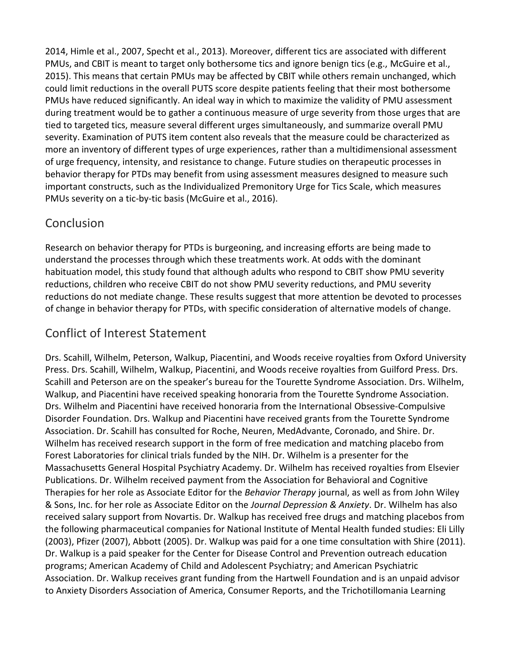[2014,](https://www.sciencedirect.com/science/article/pii/S0005789417300916?via%3Dihub#bb0100) [Himle et al., 2007,](https://www.sciencedirect.com/science/article/pii/S0005789417300916?via%3Dihub#bb0195) [Specht et al., 2013\)](https://www.sciencedirect.com/science/article/pii/S0005789417300916?via%3Dihub#bb0330). Moreover, different tics are associated with different PMUs, and CBIT is meant to target only bothersome tics and ignore benign tics (e.g., [McGuire et al.,](https://www.sciencedirect.com/science/article/pii/S0005789417300916?via%3Dihub#bb0290)  [2015\)](https://www.sciencedirect.com/science/article/pii/S0005789417300916?via%3Dihub#bb0290). This means that certain PMUs may be affected by CBIT while others remain unchanged, which could limit reductions in the overall PUTS score despite patients feeling that their most bothersome PMUs have reduced significantly. An ideal way in which to maximize the validity of PMU assessment during treatment would be to gather a continuous measure of urge severity from those urges that are tied to targeted tics, measure several different urges simultaneously, and summarize overall PMU severity. Examination of PUTS item content also reveals that the measure could be characterized as more an inventory of different types of urge experiences, rather than a multidimensional assessment of urge frequency, intensity, and resistance to change. Future studies on therapeutic processes in behavior therapy for PTDs may benefit from using assessment measures designed to measure such important constructs, such as the Individualized Premonitory Urge for Tics Scale, which measures PMUs severity on a tic-by-tic basis [\(McGuire et al., 2016\)](https://www.sciencedirect.com/science/article/pii/S0005789417300916?via%3Dihub#bb0280).

### Conclusion

Research on behavior therapy for PTDs is burgeoning, and increasing efforts are being made to understand the processes through which these treatments work. At odds with the dominant habituation model, this study found that although adults who respond to CBIT show PMU severity reductions, children who receive CBIT do not show PMU severity reductions, and PMU severity reductions do not mediate change. These results suggest that more attention be devoted to processes of change in behavior therapy for PTDs, with specific consideration of alternative models of change.

### Conflict of Interest Statement

Drs. Scahill, Wilhelm, Peterson, Walkup, Piacentini, and Woods receive royalties from Oxford University Press. Drs. Scahill, Wilhelm, Walkup, Piacentini, and Woods receive royalties from Guilford Press. Drs. Scahill and Peterson are on the speaker's bureau for the [Tourette Syndrome](https://www.sciencedirect.com/topics/medicine-and-dentistry/tourette-syndrome) Association. Drs. Wilhelm, Walkup, and Piacentini have received speaking honoraria from the Tourette Syndrome Association. Drs. Wilhelm and Piacentini have received honoraria from the International [Obsessive-Compulsive](https://www.sciencedirect.com/topics/medicine-and-dentistry/obsessive-compulsive-disorder)  [Disorder](https://www.sciencedirect.com/topics/medicine-and-dentistry/obsessive-compulsive-disorder) Foundation. Drs. Walkup and Piacentini have received grants from the Tourette Syndrome Association. Dr. Scahill has consulted for Roche, Neuren, MedAdvante, Coronado, and Shire. Dr. Wilhelm has received research support in the form of free medication and matching placebo from Forest Laboratories for clinical trials funded by the NIH. Dr. Wilhelm is a presenter for the Massachusetts General Hospital Psychiatry Academy. Dr. Wilhelm has received royalties from Elsevier Publications. Dr. Wilhelm received payment from the Association for Behavioral and Cognitive Therapies for her role as Associate Editor for the *Behavior Therapy* journal, as well as from John Wiley & Sons, Inc. for her role as Associate Editor on the *Journal Depression & Anxiety*. Dr. Wilhelm has also received salary support from Novartis. Dr. Walkup has received free drugs and matching placebos from the following pharmaceutical companies for National Institute of Mental Health funded studies: Eli Lilly (2003), Pfizer (2007), Abbott (2005). Dr. Walkup was paid for a one time consultation with Shire (2011). Dr. Walkup is a paid speaker for the Center for Disease Control and Prevention outreach education programs; American Academy of [Child and Adolescent Psychiatry;](https://www.sciencedirect.com/topics/medicine-and-dentistry/child-and-adolescent-psychiatry) and American Psychiatric Association. Dr. Walkup receives grant funding from the Hartwell Foundation and is an unpaid advisor to Anxiety Disorders Association of America, Consumer Reports, and the [Trichotillomania](https://www.sciencedirect.com/topics/medicine-and-dentistry/trichotillomania) Learning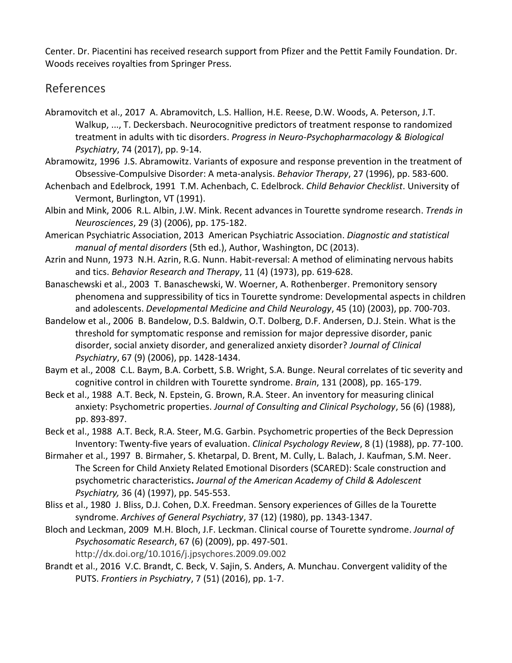Center. Dr. Piacentini has received research support from Pfizer and the Pettit Family Foundation. Dr. Woods receives royalties from Springer Press.

### References

- [Abramovitch et al., 2017](https://www.sciencedirect.com/science/article/pii/S0005789417300916?via%3Dihub#bbb0005) A. Abramovitch, L.S. Hallion, H.E. Reese, D.W. Woods, A. Peterson, J.T. Walkup, ..., T. Deckersbach. Neurocognitive predictors of treatment response to randomized treatment in adults with tic disorders. *Progress in Neuro-Psychopharmacology & Biological Psychiatry*, 74 (2017), pp. 9-14.
- [Abramowitz, 1996](https://www.sciencedirect.com/science/article/pii/S0005789417300916?via%3Dihub#bbb0010) J.S. Abramowitz. Variants of exposure and response prevention in the treatment of Obsessive-Compulsive Disorder: A meta-analysis. *Behavior Therapy*, 27 (1996), pp. 583-600.
- [Achenbach and Edelbrock, 1991](https://www.sciencedirect.com/science/article/pii/S0005789417300916?via%3Dihub#bbb0015) T.M. Achenbach, C. Edelbrock. *Child Behavior Checklist*. University of Vermont, Burlington, VT (1991).
- [Albin and Mink, 2006](https://www.sciencedirect.com/science/article/pii/S0005789417300916?via%3Dihub#bbb0020) R.L. Albin, J.W. Mink. Recent advances in Tourette syndrome research. *Trends in Neurosciences*, 29 (3) (2006), pp. 175-182.
- [American Psychiatric Association, 2013](https://www.sciencedirect.com/science/article/pii/S0005789417300916?via%3Dihub#bbb0025) American Psychiatric Association. *Diagnostic and statistical manual of mental disorders* (5th ed.), Author, Washington, DC (2013).
- [Azrin and Nunn, 1973](https://www.sciencedirect.com/science/article/pii/S0005789417300916?via%3Dihub#bbb0030) N.H. Azrin, R.G. Nunn. Habit-reversal: A method of eliminating nervous habits and tics. *Behavior Research and Therapy*, 11 (4) (1973), pp. 619-628.
- [Banaschewski et al., 2003](https://www.sciencedirect.com/science/article/pii/S0005789417300916?via%3Dihub#bbb0035) T. Banaschewski, W. Woerner, A. Rothenberger. Premonitory sensory phenomena and suppressibility of tics in Tourette syndrome: Developmental aspects in children and adolescents. *Developmental Medicine and Child Neurology*, 45 (10) (2003), pp. 700-703.
- [Bandelow et al., 2006](https://www.sciencedirect.com/science/article/pii/S0005789417300916?via%3Dihub#bbb0040) B. Bandelow, D.S. Baldwin, O.T. Dolberg, D.F. Andersen, D.J. Stein. What is the threshold for symptomatic response and remission for major depressive disorder, panic disorder, social anxiety disorder, and generalized anxiety disorder? *Journal of Clinical Psychiatry*, 67 (9) (2006), pp. 1428-1434.
- [Baym et al., 2008](https://www.sciencedirect.com/science/article/pii/S0005789417300916?via%3Dihub#bbb0045) C.L. Baym, B.A. Corbett, S.B. Wright, S.A. Bunge. Neural correlates of tic severity and cognitive control in children with Tourette syndrome. *Brain*, 131 (2008), pp. 165-179.
- [Beck et al., 1988](https://www.sciencedirect.com/science/article/pii/S0005789417300916?via%3Dihub#bbb0050) A.T. Beck, N. Epstein, G. Brown, R.A. Steer. An inventory for measuring clinical anxiety: Psychometric properties. *Journal of Consulting and Clinical Psychology*, 56 (6) (1988), pp. 893-897.
- [Beck et al., 1988](https://www.sciencedirect.com/science/article/pii/S0005789417300916?via%3Dihub#bbb0055) A.T. Beck, R.A. Steer, M.G. Garbin. Psychometric properties of the Beck Depression Inventory: Twenty-five years of evaluation. *Clinical Psychology Review*, 8 (1) (1988), pp. 77-100.
- [Birmaher et al., 1997](https://www.sciencedirect.com/science/article/pii/S0005789417300916?via%3Dihub#bbb0060) B. Birmaher, S. Khetarpal, D. Brent, M. Cully, L. Balach, J. Kaufman, S.M. Neer. The Screen for Child Anxiety Related Emotional Disorders (SCARED): Scale construction and psychometric characteristics**.** *Journal of the American Academy of Child & Adolescent Psychiatry,* 36 (4) (1997), pp. 545-553.
- [Bliss et al., 1980](https://www.sciencedirect.com/science/article/pii/S0005789417300916?via%3Dihub#bbb0065) J. Bliss, D.J. Cohen, D.X. Freedman. Sensory experiences of Gilles de la Tourette syndrome. *Archives of General Psychiatry*, 37 (12) (1980), pp. 1343-1347.
- [Bloch and Leckman, 2009](https://www.sciencedirect.com/science/article/pii/S0005789417300916?via%3Dihub#bbb0070) M.H. Bloch, J.F. Leckman. Clinical course of Tourette syndrome. *Journal of Psychosomatic Research*, 67 (6) (2009), pp. 497-501. <http://dx.doi.org/10.1016/j.jpsychores.2009.09.002>
- [Brandt et al., 2016](https://www.sciencedirect.com/science/article/pii/S0005789417300916?via%3Dihub#bbb0075) V.C. Brandt, C. Beck, V. Sajin, S. Anders, A. Munchau. Convergent validity of the PUTS. *Frontiers in Psychiatry*, 7 (51) (2016), pp. 1-7.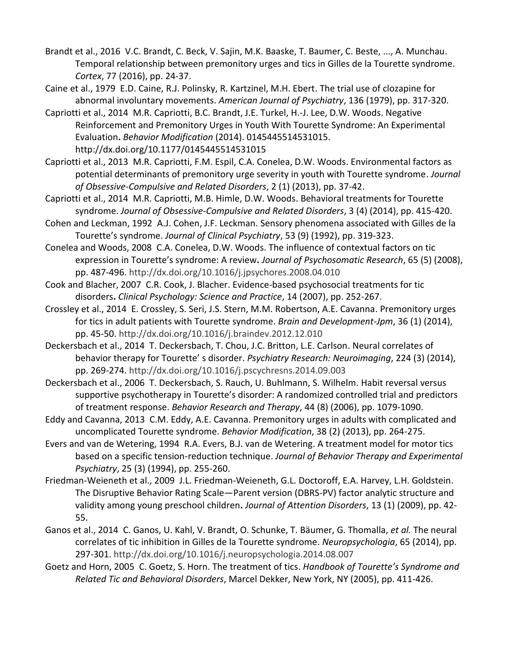- [Brandt et al., 2016](https://www.sciencedirect.com/science/article/pii/S0005789417300916?via%3Dihub#bbb0080) V.C. Brandt, C. Beck, V. Sajin, M.K. Baaske, T. Baumer, C. Beste, ..., A. Munchau. Temporal relationship between premonitory urges and tics in Gilles de la Tourette syndrome. *Cortex*, 77 (2016), pp. 24-37.
- [Caine et al., 1979](https://www.sciencedirect.com/science/article/pii/S0005789417300916?via%3Dihub#bbb0085) E.D. Caine, R.J. Polinsky, R. Kartzinel, M.H. Ebert. The trial use of clozapine for abnormal involuntary movements. *American Journal of Psychiatry*, 136 (1979), pp. 317-320.
- [Capriotti et al., 2014](https://www.sciencedirect.com/science/article/pii/S0005789417300916?via%3Dihub#bbb0090) M.R. Capriotti, B.C. Brandt, J.E. Turkel, H.-J. Lee, D.W. Woods. Negative Reinforcement and Premonitory Urges in Youth With Tourette Syndrome: An Experimental Evaluation**.** *Behavior Modification* (2014). 0145445514531015. [http://dx.doi.org/10.1177/0145445514531015](https://doi.org/10.1177/0145445514531015)
- [Capriotti et al., 2013](https://www.sciencedirect.com/science/article/pii/S0005789417300916?via%3Dihub#bbb0095) M.R. Capriotti, F.M. Espil, C.A. Conelea, D.W. Woods. Environmental factors as potential determinants of premonitory urge severity in youth with Tourette syndrome. *Journal of Obsessive-Compulsive and Related Disorders*, 2 (1) (2013), pp. 37-42.
- [Capriotti et al., 2014](https://www.sciencedirect.com/science/article/pii/S0005789417300916?via%3Dihub#bbb0100) M.R. Capriotti, M.B. Himle, D.W. Woods. Behavioral treatments for Tourette syndrome. *Journal of Obsessive-Compulsive and Related Disorders*, 3 (4) (2014), pp. 415-420.
- [Cohen and Leckman, 1992](https://www.sciencedirect.com/science/article/pii/S0005789417300916?via%3Dihub#bbb0105) A.J. Cohen, J.F. Leckman. Sensory phenomena associated with Gilles de la Tourette's syndrome. *Journal of Clinical Psychiatry*, 53 (9) (1992), pp. 319-323.
- [Conelea and Woods, 2008](https://www.sciencedirect.com/science/article/pii/S0005789417300916?via%3Dihub#bbb0110) C.A. Conelea, D.W. Woods. The influence of contextual factors on tic expression in Tourette's syndrome: A review**.** *Journal of Psychosomatic Research*, 65 (5) (2008), pp. 487-496.<http://dx.doi.org/10.1016/j.jpsychores.2008.04.010>
- [Cook and Blacher, 2007](https://www.sciencedirect.com/science/article/pii/S0005789417300916?via%3Dihub#bbb0115) C.R. Cook, J. Blacher. Evidence-based psychosocial treatments for tic disorders**.** *Clinical Psychology: Science and Practice*, 14 (2007), pp. 252-267.
- [Crossley et al., 2014](https://www.sciencedirect.com/science/article/pii/S0005789417300916?via%3Dihub#bbb0120) E. Crossley, S. Seri, J.S. Stern, M.M. Robertson, A.E. Cavanna. Premonitory urges for tics in adult patients with Tourette syndrome. *Brain and Development-Jpm*, 36 (1) (2014), pp. 45-50.<http://dx.doi.org/10.1016/j.braindev.2012.12.010>
- [Deckersbach et al., 2014](https://www.sciencedirect.com/science/article/pii/S0005789417300916?via%3Dihub#bbb0125) T. Deckersbach, T. Chou, J.C. Britton, L.E. Carlson. Neural correlates of behavior therapy for Tourette' s disorder. *Psychiatry Research: Neuroimaging*, 224 (3) (2014), pp. 269-274.<http://dx.doi.org/10.1016/j.pscychresns.2014.09.003>
- [Deckersbach et al., 2006](https://www.sciencedirect.com/science/article/pii/S0005789417300916?via%3Dihub#bbb0130) T. Deckersbach, S. Rauch, U. Buhlmann, S. Wilhelm. Habit reversal versus supportive psychotherapy in Tourette's disorder: A randomized controlled trial and predictors of treatment response. *Behavior Research and Therapy*, 44 (8) (2006), pp. 1079-1090.
- [Eddy and Cavanna, 2013](https://www.sciencedirect.com/science/article/pii/S0005789417300916?via%3Dihub#bbb0135) C.M. Eddy, A.E. Cavanna. Premonitory urges in adults with complicated and uncomplicated Tourette syndrome. *Behavior Modification*, 38 (2) (2013), pp. 264-275.
- [Evers and van de Wetering, 1994](https://www.sciencedirect.com/science/article/pii/S0005789417300916?via%3Dihub#bbb0140) R.A. Evers, B.J. van de Wetering. A treatment model for motor tics based on a specific tension-reduction technique. *Journal of Behavior Therapy and Experimental Psychiatry*, 25 (3) (1994), pp. 255-260.
- [Friedman-Weieneth et al., 2009](https://www.sciencedirect.com/science/article/pii/S0005789417300916?via%3Dihub#bbb0145) J.L. Friedman-Weieneth, G.L. Doctoroff, E.A. Harvey, L.H. Goldstein. The Disruptive Behavior Rating Scale—Parent version (DBRS-PV) factor analytic structure and validity among young preschool children**.** *Journal of Attention Disorders*, 13 (1) (2009), pp. 42- 55.
- [Ganos et al., 2014](https://www.sciencedirect.com/science/article/pii/S0005789417300916?via%3Dihub#bbb0150) C. Ganos, U. Kahl, V. Brandt, O. Schunke, T. Bäumer, G. Thomalla, *et al.* The neural correlates of tic inhibition in Gilles de la Tourette syndrome. *Neuropsychologia*, 65 (2014), pp. 297-301. <http://dx.doi.org/10.1016/j.neuropsychologia.2014.08.007>
- [Goetz and Horn, 2005](https://www.sciencedirect.com/science/article/pii/S0005789417300916?via%3Dihub#bbb0155) C. Goetz, S. Horn. The treatment of tics. *Handbook of Tourette's Syndrome and Related Tic and Behavioral Disorders*, Marcel Dekker, New York, NY (2005), pp. 411-426.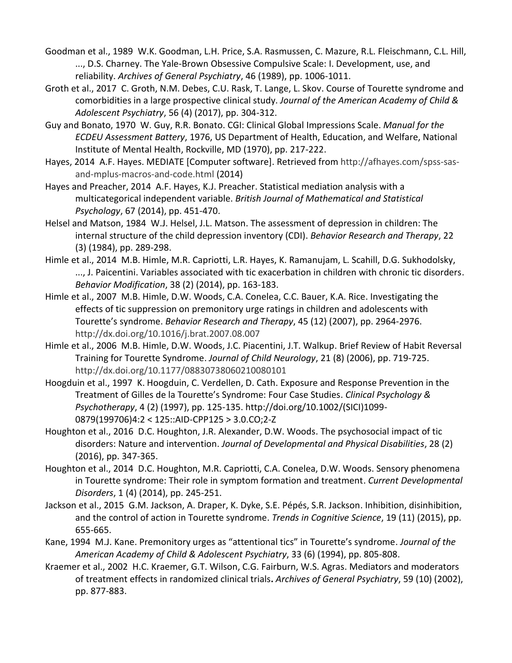- [Goodman et al., 1989](https://www.sciencedirect.com/science/article/pii/S0005789417300916?via%3Dihub#bbb0160) W.K. Goodman, L.H. Price, S.A. Rasmussen, C. Mazure, R.L. Fleischmann, C.L. Hill, ..., D.S. Charney. The Yale-Brown Obsessive Compulsive Scale: I. Development, use, and reliability. *Archives of General Psychiatry*, 46 (1989), pp. 1006-1011.
- [Groth et al., 2017](https://www.sciencedirect.com/science/article/pii/S0005789417300916?via%3Dihub#bbb0165) C. Groth, N.M. Debes, C.U. Rask, T. Lange, L. Skov. Course of Tourette syndrome and comorbidities in a large prospective clinical study. *Journal of the American Academy of Child & Adolescent Psychiatry*, 56 (4) (2017), pp. 304-312.
- [Guy and Bonato, 1970](https://www.sciencedirect.com/science/article/pii/S0005789417300916?via%3Dihub#bbb0170) W. Guy, R.R. Bonato. CGI: Clinical Global Impressions Scale. *Manual for the ECDEU Assessment Battery*, 1976, US Department of Health, Education, and Welfare, National Institute of Mental Health, Rockville, MD (1970), pp. 217-222.
- [Hayes, 2014](https://www.sciencedirect.com/science/article/pii/S0005789417300916?via%3Dihub#bbb0175) A.F. Hayes. MEDIATE [Computer software]. Retrieved from [http://afhayes.com/spss-sas](http://afhayes.com/spss-sas-and-mplus-macros-and-code.html)[and-mplus-macros-and-code.html](http://afhayes.com/spss-sas-and-mplus-macros-and-code.html) (2014)
- [Hayes and Preacher, 2014](https://www.sciencedirect.com/science/article/pii/S0005789417300916?via%3Dihub#bbb0180) A.F. Hayes, K.J. Preacher. Statistical mediation analysis with a multicategorical independent variable. *British Journal of Mathematical and Statistical Psychology*, 67 (2014), pp. 451-470.
- [Helsel and Matson, 1984](https://www.sciencedirect.com/science/article/pii/S0005789417300916?via%3Dihub#bbb0185) W.J. Helsel, J.L. Matson. The assessment of depression in children: The internal structure of the child depression inventory (CDI). *Behavior Research and Therapy*, 22 (3) (1984), pp. 289-298.
- [Himle et al., 2014](https://www.sciencedirect.com/science/article/pii/S0005789417300916?via%3Dihub#bbb0190) M.B. Himle, M.R. Capriotti, L.R. Hayes, K. Ramanujam, L. Scahill, D.G. Sukhodolsky, ..., J. Paicentini. Variables associated with tic exacerbation in children with chronic tic disorders. *Behavior Modification*, 38 (2) (2014), pp. 163-183.
- [Himle et al., 2007](https://www.sciencedirect.com/science/article/pii/S0005789417300916?via%3Dihub#bbb0195) M.B. Himle, D.W. Woods, C.A. Conelea, C.C. Bauer, K.A. Rice. Investigating the effects of tic suppression on premonitory urge ratings in children and adolescents with Tourette's syndrome. *Behavior Research and Therapy*, 45 (12) (2007), pp. 2964-2976. <http://dx.doi.org/10.1016/j.brat.2007.08.007>
- [Himle et al., 2006](https://www.sciencedirect.com/science/article/pii/S0005789417300916?via%3Dihub#bbb0200) M.B. Himle, D.W. Woods, J.C. Piacentini, J.T. Walkup. Brief Review of Habit Reversal Training for Tourette Syndrome. *Journal of Child Neurology*, 21 (8) (2006), pp. 719-725. <http://dx.doi.org/10.1177/08830738060210080101>
- [Hoogduin et al., 1997](https://www.sciencedirect.com/science/article/pii/S0005789417300916?via%3Dihub#bbb0205) K. Hoogduin, C. Verdellen, D. Cath. Exposure and Response Prevention in the Treatment of Gilles de la Tourette's Syndrome: Four Case Studies. *Clinical Psychology & Psychotherapy*, 4 (2) (1997), pp. 125-135. http://doi.org/10.1002/(SICI)1099- 0879(199706)4:2 < 125::AID-CPP125 > 3.0.CO;2-Z
- [Houghton et al., 2016](https://www.sciencedirect.com/science/article/pii/S0005789417300916?via%3Dihub#bbb0210) D.C. Houghton, J.R. Alexander, D.W. Woods. The psychosocial impact of tic disorders: Nature and intervention. *Journal of Developmental and Physical Disabilities*, 28 (2) (2016), pp. 347-365.
- [Houghton et al., 2014](https://www.sciencedirect.com/science/article/pii/S0005789417300916?via%3Dihub#bbb0215) D.C. Houghton, M.R. Capriotti, C.A. Conelea, D.W. Woods. Sensory phenomena in Tourette syndrome: Their role in symptom formation and treatment. *Current Developmental Disorders*, 1 (4) (2014), pp. 245-251.
- [Jackson et al., 2015](https://www.sciencedirect.com/science/article/pii/S0005789417300916?via%3Dihub#bbb0220) G.M. Jackson, A. Draper, K. Dyke, S.E. Pépés, S.R. Jackson. Inhibition, disinhibition, and the control of action in Tourette syndrome. *Trends in Cognitive Science*, 19 (11) (2015), pp. 655-665.
- [Kane, 1994](https://www.sciencedirect.com/science/article/pii/S0005789417300916?via%3Dihub#bbb0225) M.J. Kane. Premonitory urges as "attentional tics" in Tourette's syndrome. *Journal of the American Academy of Child & Adolescent Psychiatry*, 33 (6) (1994), pp. 805-808.
- [Kraemer et al., 2002](https://www.sciencedirect.com/science/article/pii/S0005789417300916?via%3Dihub#bbb0230) H.C. Kraemer, G.T. Wilson, C.G. Fairburn, W.S. Agras. Mediators and moderators of treatment effects in randomized clinical trials**.** *Archives of General Psychiatry*, 59 (10) (2002), pp. 877-883.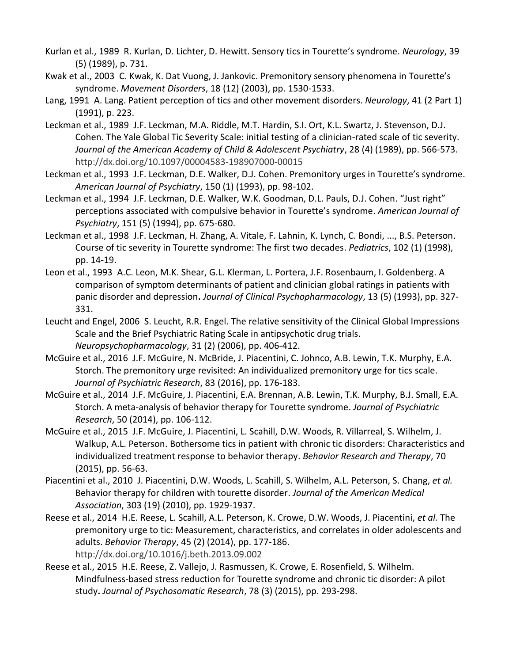- [Kurlan et al., 1989](https://www.sciencedirect.com/science/article/pii/S0005789417300916?via%3Dihub#bbb0235) R. Kurlan, D. Lichter, D. Hewitt. Sensory tics in Tourette's syndrome. *Neurology*, 39 (5) (1989), p. 731.
- [Kwak et al., 2003](https://www.sciencedirect.com/science/article/pii/S0005789417300916?via%3Dihub#bbb0240) C. Kwak, K. Dat Vuong, J. Jankovic. Premonitory sensory phenomena in Tourette's syndrome. *Movement Disorders*, 18 (12) (2003), pp. 1530-1533.
- [Lang, 1991](https://www.sciencedirect.com/science/article/pii/S0005789417300916?via%3Dihub#bbb0245) A. Lang. Patient perception of tics and other movement disorders. *Neurology*, 41 (2 Part 1) (1991), p. 223.
- [Leckman et al., 1989](https://www.sciencedirect.com/science/article/pii/S0005789417300916?via%3Dihub#bbb0250) J.F. Leckman, M.A. Riddle, M.T. Hardin, S.I. Ort, K.L. Swartz, J. Stevenson, D.J. Cohen. The Yale Global Tic Severity Scale: initial testing of a clinician-rated scale of tic severity. *Journal of the American Academy of Child & Adolescent Psychiatry*, 28 (4) (1989), pp. 566-573. <http://dx.doi.org/10.1097/00004583-198907000-00015>
- [Leckman et al., 1993](https://www.sciencedirect.com/science/article/pii/S0005789417300916?via%3Dihub#bbb0255) J.F. Leckman, D.E. Walker, D.J. Cohen. Premonitory urges in Tourette's syndrome. *American Journal of Psychiatry*, 150 (1) (1993), pp. 98-102.
- [Leckman et al., 1994](https://www.sciencedirect.com/science/article/pii/S0005789417300916?via%3Dihub#bbb0260) J.F. Leckman, D.E. Walker, W.K. Goodman, D.L. Pauls, D.J. Cohen. "Just right" perceptions associated with compulsive behavior in Tourette's syndrome. *American Journal of Psychiatry*, 151 (5) (1994), pp. 675-680.
- [Leckman et al., 1998](https://www.sciencedirect.com/science/article/pii/S0005789417300916?via%3Dihub#bbb0265) J.F. Leckman, H. Zhang, A. Vitale, F. Lahnin, K. Lynch, C. Bondi, ..., B.S. Peterson. Course of tic severity in Tourette syndrome: The first two decades. *Pediatrics*, 102 (1) (1998), pp. 14-19.
- [Leon et al., 1993](https://www.sciencedirect.com/science/article/pii/S0005789417300916?via%3Dihub#bbb0270) A.C. Leon, M.K. Shear, G.L. Klerman, L. Portera, J.F. Rosenbaum, I. Goldenberg. A comparison of symptom determinants of patient and clinician global ratings in patients with panic disorder and depression**.** *Journal of Clinical Psychopharmacology*, 13 (5) (1993), pp. 327- 331.
- [Leucht and Engel, 2006](https://www.sciencedirect.com/science/article/pii/S0005789417300916?via%3Dihub#bbb0275) S. Leucht, R.R. Engel. The relative sensitivity of the Clinical Global Impressions Scale and the Brief Psychiatric Rating Scale in antipsychotic drug trials. *Neuropsychopharmacology*, 31 (2) (2006), pp. 406-412.
- [McGuire et al., 2016](https://www.sciencedirect.com/science/article/pii/S0005789417300916?via%3Dihub#bbb0280) J.F. McGuire, N. McBride, J. Piacentini, C. Johnco, A.B. Lewin, T.K. Murphy, E.A. Storch. The premonitory urge revisited: An individualized premonitory urge for tics scale. *Journal of Psychiatric Research*, 83 (2016), pp. 176-183.
- [McGuire et al., 2014](https://www.sciencedirect.com/science/article/pii/S0005789417300916?via%3Dihub#bbb0285) J.F. McGuire, J. Piacentini, E.A. Brennan, A.B. Lewin, T.K. Murphy, B.J. Small, E.A. Storch. A meta-analysis of behavior therapy for Tourette syndrome. *Journal of Psychiatric Research*, 50 (2014), pp. 106-112.
- [McGuire et al., 2015](https://www.sciencedirect.com/science/article/pii/S0005789417300916?via%3Dihub#bbb0290) J.F. McGuire, J. Piacentini, L. Scahill, D.W. Woods, R. Villarreal, S. Wilhelm, J. Walkup, A.L. Peterson. Bothersome tics in patient with chronic tic disorders: Characteristics and individualized treatment response to behavior therapy. *Behavior Research and Therapy*, 70 (2015), pp. 56-63.
- [Piacentini et al., 2010](https://www.sciencedirect.com/science/article/pii/S0005789417300916?via%3Dihub#bbb0295) J. Piacentini, D.W. Woods, L. Scahill, S. Wilhelm, A.L. Peterson, S. Chang, *et al.* Behavior therapy for children with tourette disorder. *Journal of the American Medical Association*, 303 (19) (2010), pp. 1929-1937.
- [Reese et al., 2014](https://www.sciencedirect.com/science/article/pii/S0005789417300916?via%3Dihub#bbb0300) H.E. Reese, L. Scahill, A.L. Peterson, K. Crowe, D.W. Woods, J. Piacentini, *et al.* The premonitory urge to tic: Measurement, characteristics, and correlates in older adolescents and adults. *Behavior Therapy*, 45 (2) (2014), pp. 177-186. <http://dx.doi.org/10.1016/j.beth.2013.09.002>
- [Reese et al., 2015](https://www.sciencedirect.com/science/article/pii/S0005789417300916?via%3Dihub#bbb0305) H.E. Reese, Z. Vallejo, J. Rasmussen, K. Crowe, E. Rosenfield, S. Wilhelm. Mindfulness-based stress reduction for Tourette syndrome and chronic tic disorder: A pilot study**.** *Journal of Psychosomatic Research*, 78 (3) (2015), pp. 293-298.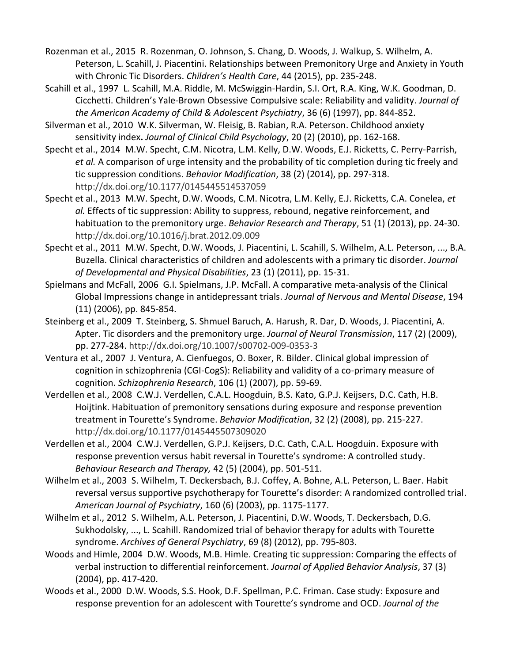- [Rozenman et al., 2015](https://www.sciencedirect.com/science/article/pii/S0005789417300916?via%3Dihub#bbb0310) R. Rozenman, O. Johnson, S. Chang, D. Woods, J. Walkup, S. Wilhelm, A. Peterson, L. Scahill, J. Piacentini. Relationships between Premonitory Urge and Anxiety in Youth with Chronic Tic Disorders. *Children's Health Care*, 44 (2015), pp. 235-248.
- [Scahill et al., 1997](https://www.sciencedirect.com/science/article/pii/S0005789417300916?via%3Dihub#bbb0315) L. Scahill, M.A. Riddle, M. McSwiggin-Hardin, S.I. Ort, R.A. King, W.K. Goodman, D. Cicchetti. Children's Yale-Brown Obsessive Compulsive scale: Reliability and validity. *Journal of the American Academy of Child & Adolescent Psychiatry*, 36 (6) (1997), pp. 844-852.
- [Silverman et al., 2010](https://www.sciencedirect.com/science/article/pii/S0005789417300916?via%3Dihub#bbb0320) W.K. Silverman, W. Fleisig, B. Rabian, R.A. Peterson. Childhood anxiety sensitivity index**.** *Journal of Clinical Child Psychology*, 20 (2) (2010), pp. 162-168.
- [Specht et al., 2014](https://www.sciencedirect.com/science/article/pii/S0005789417300916?via%3Dihub#bbb0325) M.W. Specht, C.M. Nicotra, L.M. Kelly, D.W. Woods, E.J. Ricketts, C. Perry-Parrish, *et al.* A comparison of urge intensity and the probability of tic completion during tic freely and tic suppression conditions. *Behavior Modification*, 38 (2) (2014), pp. 297-318. <http://dx.doi.org/10.1177/0145445514537059>
- [Specht et al., 2013](https://www.sciencedirect.com/science/article/pii/S0005789417300916?via%3Dihub#bbb0330) M.W. Specht, D.W. Woods, C.M. Nicotra, L.M. Kelly, E.J. Ricketts, C.A. Conelea, *et al.* Effects of tic suppression: Ability to suppress, rebound, negative reinforcement, and habituation to the premonitory urge. *Behavior Research and Therapy*, 51 (1) (2013), pp. 24-30. <http://dx.doi.org/10.1016/j.brat.2012.09.009>
- [Specht et al., 2011](https://www.sciencedirect.com/science/article/pii/S0005789417300916?via%3Dihub#bbb0335) M.W. Specht, D.W. Woods, J. Piacentini, L. Scahill, S. Wilhelm, A.L. Peterson, ..., B.A. Buzella. Clinical characteristics of children and adolescents with a primary tic disorder. *Journal of Developmental and Physical Disabilities*, 23 (1) (2011), pp. 15-31.
- [Spielmans and McFall, 2006](https://www.sciencedirect.com/science/article/pii/S0005789417300916?via%3Dihub#bbb0340) G.I. Spielmans, J.P. McFall. A comparative meta-analysis of the Clinical Global Impressions change in antidepressant trials. *Journal of Nervous and Mental Disease*, 194 (11) (2006), pp. 845-854.
- [Steinberg et al., 2009](https://www.sciencedirect.com/science/article/pii/S0005789417300916?via%3Dihub#bbb0345) T. Steinberg, S. Shmuel Baruch, A. Harush, R. Dar, D. Woods, J. Piacentini, A. Apter. Tic disorders and the premonitory urge. *Journal of Neural Transmission*, 117 (2) (2009), pp. 277-284.<http://dx.doi.org/10.1007/s00702-009-0353-3>
- [Ventura et al., 2007](https://www.sciencedirect.com/science/article/pii/S0005789417300916?via%3Dihub#bbb0350) J. Ventura, A. Cienfuegos, O. Boxer, R. Bilder. Clinical global impression of cognition in schizophrenia (CGI-CogS): Reliability and validity of a co-primary measure of cognition. *Schizophrenia Research*, 106 (1) (2007), pp. 59-69.
- [Verdellen et al., 2008](https://www.sciencedirect.com/science/article/pii/S0005789417300916?via%3Dihub#bbb0355) C.W.J. Verdellen, C.A.L. Hoogduin, B.S. Kato, G.P.J. Keijsers, D.C. Cath, H.B. Hoijtink. Habituation of premonitory sensations during exposure and response prevention treatment in Tourette's Syndrome. *Behavior Modification*, 32 (2) (2008), pp. 215-227. <http://dx.doi.org/10.1177/0145445507309020>
- [Verdellen et al., 2004](https://www.sciencedirect.com/science/article/pii/S0005789417300916?via%3Dihub#bbb0360) C.W.J. Verdellen, G.P.J. Keijsers, D.C. Cath, C.A.L. Hoogduin. Exposure with response prevention versus habit reversal in Tourette's syndrome: A controlled study. *Behaviour Research and Therapy,* 42 (5) (2004), pp. 501-511.
- [Wilhelm et al., 2003](https://www.sciencedirect.com/science/article/pii/S0005789417300916?via%3Dihub#bbb0365) S. Wilhelm, T. Deckersbach, B.J. Coffey, A. Bohne, A.L. Peterson, L. Baer. Habit reversal versus supportive psychotherapy for Tourette's disorder: A randomized controlled trial. *American Journal of Psychiatry*, 160 (6) (2003), pp. 1175-1177.
- [Wilhelm et al., 2012](https://www.sciencedirect.com/science/article/pii/S0005789417300916?via%3Dihub#bbb0370) S. Wilhelm, A.L. Peterson, J. Piacentini, D.W. Woods, T. Deckersbach, D.G. Sukhodolsky, ..., L. Scahill. Randomized trial of behavior therapy for adults with Tourette syndrome. *Archives of General Psychiatry*, 69 (8) (2012), pp. 795-803.
- [Woods and Himle, 2004](https://www.sciencedirect.com/science/article/pii/S0005789417300916?via%3Dihub#bbb0375) D.W. Woods, M.B. Himle. Creating tic suppression: Comparing the effects of verbal instruction to differential reinforcement. *Journal of Applied Behavior Analysis*, 37 (3) (2004), pp. 417-420.
- [Woods et al., 2000](https://www.sciencedirect.com/science/article/pii/S0005789417300916?via%3Dihub#bbb0380) D.W. Woods, S.S. Hook, D.F. Spellman, P.C. Friman. Case study: Exposure and response prevention for an adolescent with Tourette's syndrome and OCD. *Journal of the*